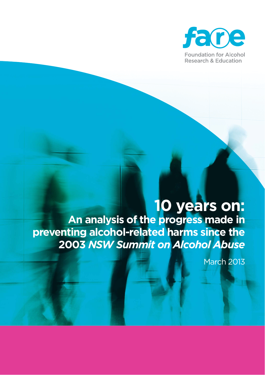

# **10 years on: An analysis of the progress made in preventing alcohol-related harms since the 2003** *NSW Summit on Alcohol Abuse*

March 2013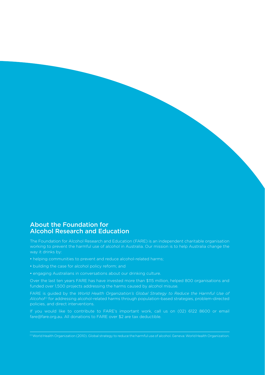### **About the Foundation for Alcohol Research and Education**

The Foundation for Alcohol Research and Education (FARE) is an independent charitable organisation working to prevent the harmful use of alcohol in Australia. Our mission is to help Australia change the way it drinks by:

- helping communities to prevent and reduce alcohol-related harms;
- building the case for alcohol policy reform; and
- engaging Australians in conversations about our drinking culture.

Over the last ten years FARE has have invested more than \$115 million, helped 800 organisations and funded over 1,500 projects addressing the harms caused by alcohol misuse.

FARE is guided by the World Health Organization's Global Strategy to Reduce the Harmful Use of Alcoho<sup>[i]</sup> for addressing alcohol-related harms through population-based strategies, problem-directed policies, and direct interventions.

If you would like to contribute to FARE's important work, call us on (02) 6122 8600 or email fare@fare.org.au. All donations to FARE over \$2 are tax deductible.

[1] World Health Organization (2010). Global strategy to reduce the harmful use of alcohol. Geneva: World Health Organization.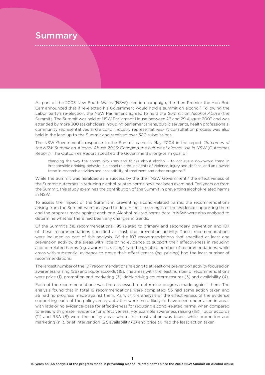## **Summary**

As part of the 2003 New South Wales (NSW) election campaign, the then Premier the Hon Bob Carr announced that if re-elected his Government would hold a summit on alcohol.<sup>1</sup> Following the Labor party's re-election, the NSW Parliament agreed to hold the Summit on Alcohol Abuse (the Summit). The Summit was held at NSW Parliament House between 26 and 29 August 2003 and was attended by more 300 stakeholders including parliamentarians, public servants, health professionals, community representatives and alcohol industry representatives.<sup>2</sup> A consultation process was also held in the lead up to the Summit and received over 300 submissions.

The NSW Government's response to the Summit came in May 2004 in the report Outcomes of the NSW Summit on Alcohol Abuse 2003: Changing the culture of alcohol use in NSW (Outcomes Report). The Outcomes Report specified the Government's long-term goal of

changing the way the community uses and thinks about alcohol - to achieve a downward trend in irresponsible drinking behaviour, alcohol related incidents of violence, injury and disease, and an upward trend in research activities and accessibility of treatment and other programs.<sup>3</sup>

While the Summit was heralded as a success by the then NSW Government.<sup>4</sup> the effectiveness of the Summit outcomes in reducing alcohol-related harms have not been examined. Ten years on from the Summit, this study examines the contribution of the Summit in preventing alcohol-related harms in NSW.

To assess the impact of the Summit in preventing alcohol-related harms, the recommendations arising from the Summit were analysed to determine the strength of the evidence supporting them and the progress made against each one. Alcohol-related harms data in NSW were also analysed to determine whether there had been any changes in trends.

Of the Summit's 318 recommendations, 195 related to primary and secondary prevention and 107 of these recommendations specified at least one prevention activity. These recommendations were included as part of this analysis. Of the 107 recommendations that specified at least one prevention activity, the areas with little or no evidence to support their effectiveness in reducing alcohol-related harms (eg. awareness raising) had the greatest number of recommendations, while areas with substantial evidence to prove their effectiveness (eg. pricing) had the least number of recommendations.

The largest number of the 107 recommendations relating to at least one prevention activity focused on awareness raising (26) and liquor accords (15). The areas with the least number of recommendations were price (1), promotion and marketing (3), drink driving countermeasures (3) and availability (4).

Each of the recommendations was then assessed to determine progress made against them. The analysis found that in total 19 recommendations were completed, 53 had some action taken and 35 had no progress made against them. As with the analysis of the effectiveness of the evidence supporting each of the policy areas, activities were most likely to have been undertaken in areas with little or no evidence-base for effectiveness for reducing alcohol-related harms, when compared to areas with greater evidence for effectiveness. For example awareness raising (18), liquor accords (11) and RSA (8) were the policy areas where the most action was taken, while promotion and marketing (nil), brief intervention (2), availability (3) and price (1) had the least action taken.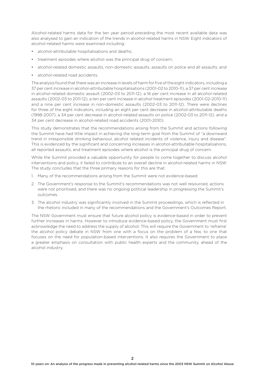Alcohol-related harms data for the ten year period preceding the most recent available data was also analysed to gain an indication of the trends in alcohol-related harms in NSW. Eight indicators of alcohol-related harms were examined including:

- alcohol-attributable hospitalisations and deaths;
- treatment episodes where alcohol was the principal drug of concern;
- alcohol-related domestic assaults, non-domestic assaults, assaults on police and all assaults; and
- alcohol-related road accidents.

The analysis found that there was an increase in levels of harm for five of the eight indicators, including a 37 per cent increase in alcohol-attributable hospitalisations (2001-02 to 2010-11), a 37 per cent increase in alcohol-related domestic assault (2002-03 to 2011-12), a 16 per cent increase in all alcohol-related assaults (2002-03 to 2011-12), a ten per cent increase in alcohol treatment episodes (2001-02-2010-11) and a nine per cent increase in non-domestic assaults (2002-03 to 2011-12). There were declines for three of the eight indicators, including an eight per cent decrease in alcohol-attributable deaths (1998-2007), a 34 per cent decrease in alcohol-related assaults on police (2002-03 to 2011-12), and a 34 per cent decrease in alcohol-related road accidents (2001-2010).

This study demonstrates that the recommendations arising from the Summit and actions following the Summit have had little impact in achieving the long-term goal from the Summit of "a downward trend in irresponsible drinking behaviour, alcohol related incidents of violence, injury and disease". This is evidenced by the significant and concerning increases in alcohol-attributable hospitalisations, all reported assaults, and treatment episodes where alcohol is the principal drug of concern.

While the Summit provided a valuable opportunity for people to come together to discuss alcohol interventions and policy, it failed to contribute to an overall decline in alcohol-related harms in NSW. The study concludes that the three primary reasons for this are that:

- 1. Many of the recommendations arising from the Summit were not evidence-based.
- 2. The Government's response to the Summit's recommendations was not well resourced, actions were not prioritised, and there was no ongoing political leadership in progressing the Summit's outcomes.
- 3. The alcohol industry was significantly involved in the Summit proceedings, which is reflected in the rhetoric included in many of the recommendations and the Government's Outcomes Report.

The NSW Government must ensure that future alcohol policy is evidence-based in order to prevent further increases in harms. However to introduce evidence-based policy, the Government must first acknowledge the need to address the supply of alcohol. This will require the Government to 'reframe' the alcohol policy debate in NSW from one with a focus on the problem of a few, to one that focuses on the need for population-based interventions. It also requires the Government to place a greater emphasis on consultation with public health experts and the community, ahead of the alcohol industry.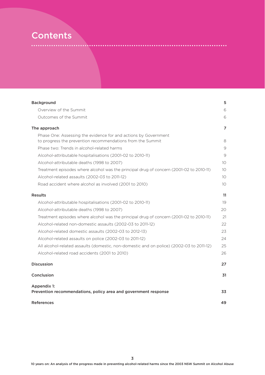# **Contents**

| <b>Background</b>                                                                                                             | 5               |
|-------------------------------------------------------------------------------------------------------------------------------|-----------------|
| Overview of the Summit                                                                                                        | 6               |
| Outcomes of the Summit                                                                                                        | 6               |
| The approach                                                                                                                  | 7               |
| Phase One: Assessing the evidence for and actions by Government<br>to progress the prevention recommendations from the Summit | 8               |
| Phase two: Trends in alcohol-related harms                                                                                    | 9               |
| Alcohol-attributable hospitalisations (2001-02 to 2010-11)                                                                    | $\mathcal{Q}$   |
| Alcohol-attributable deaths (1998 to 2007)                                                                                    | 10 <sup>°</sup> |
| Treatment episodes where alcohol was the principal drug of concern (2001-02 to 2010-11)                                       | 10 <sup>°</sup> |
| Alcohol-related assaults (2002-03 to 2011-12)                                                                                 | 10 <sup>1</sup> |
| Road accident where alcohol as involved (2001 to 2010)                                                                        | 10 <sup>°</sup> |
| <b>Results</b>                                                                                                                | 11              |
| Alcohol-attributable hospitalisations (2001-02 to 2010-11)                                                                    | 19              |
| Alcohol-attributable deaths (1998 to 2007)                                                                                    | 20              |
| Treatment episodes where alcohol was the principal drug of concern (2001-02 to 2010-11)                                       | 21              |
| Alcohol-related non-domestic assaults (2002-03 to 2011-12)                                                                    | 22              |
| Alcohol-related domestic assaults (2002-03 to 2012-13)                                                                        | 23              |
| Alcohol-related assaults on police (2002-03 to 2011-12)                                                                       | 24              |
| All alcohol-related assaults (domestic, non-domestic and on police) (2002-03 to 2011-12)                                      | 25              |
| Alcohol-related road accidents (2001 to 2010)                                                                                 | 26              |
| <b>Discussion</b>                                                                                                             | 27              |
| Conclusion                                                                                                                    | 31              |
| Appendix 1:                                                                                                                   |                 |
| Prevention recommendations, policy area and government response                                                               | 33              |
| <b>References</b>                                                                                                             | 49              |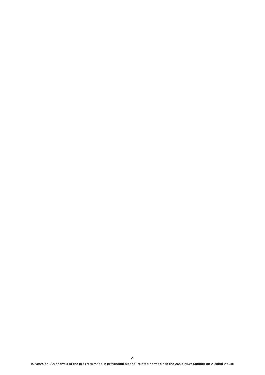10 years on: An analysis of the progress made in preventing alcohol-related harms since the 2003 NSW Summit on Alcohol Abuse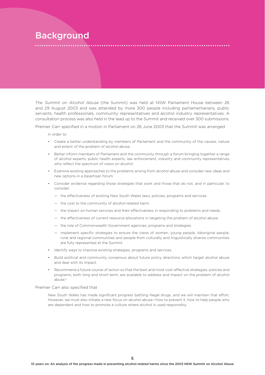### Background

The Summit on Alcohol Abuse (the Summit) was held at NSW Parliament House between 26 and 29 August 2003 and was attended by more 300 people including parliamentarians, public servants, health professionals, community representatives and alcohol industry representatives. A consultation process was also held in the lead up to the Summit and received over 300 submissions.

Premier Carr specified in a motion in Parliament on 26 June 2003 that the Summit was arranged

in order to:

• Create a better understanding by members of Parliament and the community of the causes, nature and extent of the problem of alcohol abuse.

.............

- Better inform members of Parliament and the community through a forum bringing together a range of alcohol experts, public health experts, law enforcement, industry and community representatives who reflect the spectrum of views on alcohol.
- Examine existing approaches to the problems arising from alcohol abuse and consider new ideas and new options in a bipartisan forum.
- Consider evidence regarding those strategies that work and those that do not, and in particular, to consider:
	- the effectiveness of existing New South Wales laws, policies, programs and services.
	- $-$  the cost to the community of alcohol-related harm.
	- the impact on human services and their effectiveness in responding to problems and needs.
	- the effectiveness of current resource allocations in targeting the problem of alcohol abuse.
	- the role of Commonwealth Government agencies, programs and strategies.
	- implement specific strategies to ensure the views of women, young people, Aboriginal people, rural and regional communities and people from culturally and linguistically diverse communities are fully represented at the Summit.
- Identify ways to improve existing strategies, programs and services.
- Build political and community consensus about future policy directions which target alcohol abuse and deal with its impact.
- Recommend a future course of action so that the best and most cost-effective strategies, policies and programs, both long and short-term, are available to address and impact on the problem of alcohol abuse<sup>5</sup>

#### Premier Carr also specified that

New South Wales has made significant progress battling illegal drugs, and we will maintain that effort. However, we must also initiate a new focus on alcohol abuse—how to prevent it, how to help people who are dependent and how to promote a culture where alcohol is used responsibly.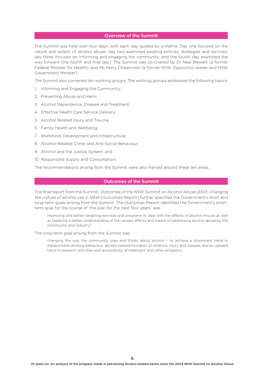#### **Overview of the Summit**

The Summit was held over four days, with each day guided by a theme. Day one focused on the nature and extent of alcohol abuse; day two examined existing policies, strategies and services; day three focused on informing and engaging the community; and the fourth day examined the way forward (the fourth and final day). The Summit was co-chaired by Dr Neal Blewett (a former Federal Minister for Health), and Ms Kerry Chikarovski (a former NSW Opposition leader and NSW Government Minister).

The Summit also convened ten working groups. The working groups addressed the following topics:

- 1. Informing and Engaging the Community;
- 2. Preventing Abuse and Harm:
- 3. Alcohol Dependence, Disease and Treatment;
- 4. Effective Health Care Service Delivery;
- 5. Alcohol Related Injury and Trauma;
- 6. Family Health and Wellbeing;
- 7. Workforce Development and Infrastructure;
- 8. Alcohol-Related Crime and Anti-Social Behaviour;
- 9. Alcohol and the Justice System: and
- 10. Responsible Supply and Consumption.

The recommendations arising from the Summit were also framed around these ten areas.

#### **Outcomes of the Summit**

The final report from the Summit, Outcomes of the NSW Summit on Alcohol Abuse 2003: Changing the culture of alcohol use in NSW (Outcomes Report) further specified the Government's short and long-term goals arising from the Summit. The Outcomes Report identified the Government's shortterm goal for the course of 'the plan for the next four years' was

improving and better targeting services and programs to deal with the effects of alcohol misuse as well as fostering a better understanding of the causes, effects and means of addressing alcohol abuse by the community and industry.<sup>6</sup>

The long-term goal arising from the Summit was

changing the way the community uses and thinks about alcohol - to achieve a downward trend in irresponsible drinking behaviour, alcohol related incidents of violence, injury and disease, and an upward trend in research activities and accessibility of treatment and other programs.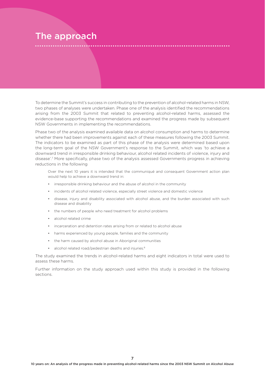### The approach

To determine the Summit's success in contributing to the prevention of alcohol-related harms in NSW, two phases of analyses were undertaken. Phase one of the analysis identified the recommendations arising from the 2003 Summit that related to preventing alcohol-related harms, assessed the evidence-base supporting the recommendations and examined the progress made by subsequent NSW Governments in implementing the recommendations.

..........

Phase two of the analysis examined available data on alcohol consumption and harms to determine whether there had been improvements against each of these measures following the 2003 Summit. The indicators to be examined as part of this phase of the analysis were determined based upon the long-term goal of the NSW Government's response to the Summit, which was 'to achieve a downward trend in irresponsible drinking behaviour, alcohol related incidents of violence, injury and disease'.7 More specifically, phase two of the analysis assessed Governments progress in achieving reductions in the following

Over the next 10 years it is intended that the communiqué and consequent Government action plan would help to achieve a downward trend in:

- irresponsible drinking behaviour and the abuse of alcohol in the community
- incidents of alcohol related violence, especially street violence and domestic violence
- disease, injury and disability associated with alcohol abuse, and the burden associated with such disease and disability
- the numbers of people who need treatment for alcohol problems
- alcohol related crime  $\ddot{\phantom{a}}$
- incarceration and detention rates arising from or related to alcohol abuse
- harms experienced by young people, families and the community  $\bullet$
- the harm caused by alcohol abuse in Aboriginal communities
- $\bullet$  . alcohol related road/pedestrian deaths and injuries.<sup>8</sup>

The study examined the trends in alcohol-related harms and eight indicators in total were used to assess these harms.

Further information on the study approach used within this study is provided in the following sections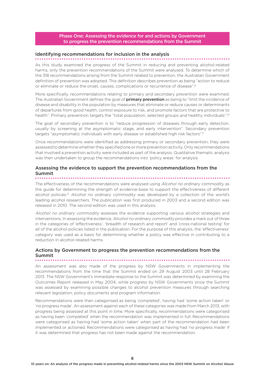#### Phase One: Assessing the evidence for and actions by Government to progress the prevention recommendations from the Summit

#### Identifying recommendations for inclusion in the analysis

As this study examined the progress of the Summit in reducing and preventing alcohol-related harms, only the prevention recommendations of the Summit were analysed. To determine which of the 318 recommendations arising from the Summit related to prevention, the Australian Government definition of prevention was adopted. This definition describes prevention as being "action to reduce or eliminate or reduce the onset, causes, complications or recurrence of disease".<sup>9</sup>

More specifically, recommendations relating to primary and secondary prevention were examined. The Australian Government defines the goal of *primary prevention* as being to "limit the incidence of disease and disability in the population by measures that eliminate or reduce causes or determinants of departures from good health, control exposure to risk, and promote factors that are protective to health". Primary prevention targets the "total population, selected groups and healthy individuals".<sup>10</sup>

The goal of secondary prevention is to "reduce progression of diseases through early detection, usually by screening at the asymptomatic stage, and early intervention". Secondary prevention targets "asymptomatic individuals with early disease or established high risk factors"."

Once recommendations were identified as addressing primary or secondary prevention, they were assessed to determine whether they specified one or more prevention activity. Only recommendations that involved a prevention activity were included as part of the analysis. Qualitative thematic analysis was then undertaken to group the recommendations into 'policy areas' for analysis.

#### Assessing the evidence to support the prevention recommendations from the Summit

### The effectiveness of the recommendations were analysed using Alcohol no ordinary commodity as the guide for determining the strength of evidence-base to support the effectiveness of different alcohol policies.<sup>12</sup> Alcohol no ordinary commodity was developed by a collection of the world's

leading alcohol researchers. The publication was first produced in 2003 and a second edition was released in 2010. The second edition was used in this analysis.

Alcohol no ordinary commodity assesses the evidence supporting various alcohol strategies and interventions. In assessing the evidence, Alcohol no ordinary commodity provides a mark out of three in the categories of 'effectiveness', 'breadth of research and report' and 'cross-national testing' for all of the alcohol policies listed in the publication. For the purpose of this analysis, the 'effectiveness' category was used as a basis for determining whether a policy was effective in contributing to a reduction in alcohol-related harms.

#### Actions by Government to progress the prevention recommendations from the **Summit**

An assessment was also made of the progress by NSW Governments in implementing the recommendations from the time that the Summit ended on 29 August 2003 until 28 February 2013. The NSW Government's immediate response to the Summit was determined by examining the Outcomes Report released in May 2004, while progress by NSW Governments since the Summit was assessed by examining possible changes to alcohol prevention measures through searching relevant legislation, policy documents and program information.

Recommendations were then categorised as being 'completed', having had 'some action taken' or 'no progress made'. An assessment against each of these categories was made from March 2013, with progress being assessed at this point in time. More specifically, recommendations were categorised as having been 'completed' when the recommendation was implemented in full. Recommendations were categorised as having had 'some action taken' when part of the recommendation had been implemented or actioned. Recommendations were categorised as having had 'no progress made' if it was determined that progress has not been made against the recommendation.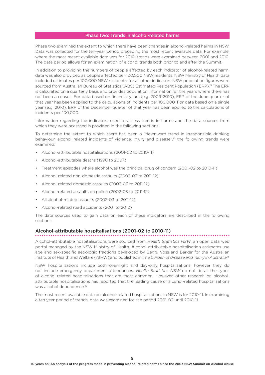#### Phase two: Trends in alcohol-related harms

Phase two examined the extent to which there have been changes in alcohol-related harms in NSW. Data was collected for the ten-year period preceding the most recent available data. For example, where the most recent available data was for 2010, trends were examined between 2001 and 2010. The data period allows for an examination of alcohol trends both prior to and after the Summit.

In addition to providing the numbers of people affected by each indicator of alcohol-related harm, data was also provided as people affected per 100,000 NSW residents. NSW Ministry of Health data included estimates per 100,000 NSW residents, for all other indicators NSW population figures were sourced from Australian Bureau of Statistics (ABS) Estimated Resident Population (ERP).<sup>13</sup> The ERP is calculated on a quarterly basis and provides population information for the years where there has not been a census. For data based on financial years (e.g. 2009-2010), ERP of the June quarter of that year has been applied to the calculations of incidents per 100,000. For data based on a single year (e.g. 2010), ERP of the December quarter of that year has been applied to the calculations of incidents per 100,000.

Information regarding the indicators used to assess trends in harms and the data sources from which they were accessed is provided in the following sections.

To determine the extent to which there has been a "downward trend in irresponsible drinking behaviour, alcohol related incidents of violence, injury and disease",<sup>14</sup> the following trends were examined:

- Alcohol-attributable hospitalisations (2001-02 to 2010-11)
- Alcohol-attributable deaths (1998 to 2007)
- Treatment episodes where alcohol was the principal drug of concern (2001-02 to 2010-11)
- Alcohol-related non-domestic assaults (2002-03 to 2011-12)
- Alcohol-related domestic assaults (2002-03 to 2011-12)
- Alcohol-related assaults on police (2002-03 to 2011-12)
- All alcohol-related assaults (2002-03 to 2011-12)
- Alcohol-related road accidents (2001 to 2010)

The data sources used to gain data on each of these indicators are described in the following sections.

#### Alcohol-attributable hospitalisations (2001-02 to 2010-11)

Alcohol-attributable hospitalisations were sourced from Health Statistics NSW, an open data web portal managed by the NSW Ministry of Health. Alcohol-attributable hospitalisation estimates use age and sex-specific aetiologic fractions developed by Begg, Voss and Barker for the Australian Institute of Health and Welfare (AIHW) and published in *The burden of disease and injury in Australia*.<sup>15</sup>

NSW hospitalisations include both overnight and day-only hospitalisations, however they do not include emergency department attendances. Health Statistics NSW do not detail the types of alcohol-related hospitalisations that are most common. However, other research on alcoholattributable hospitalisations has reported that the leading cause of alcohol-related hospitalisations was alcohol dependence.<sup>16</sup>

The most recent available data on alcohol-related hospitalisations in NSW is for 2010-11. In examining a ten year period of trends, data was examined for the period 2001-02 until 2010-11.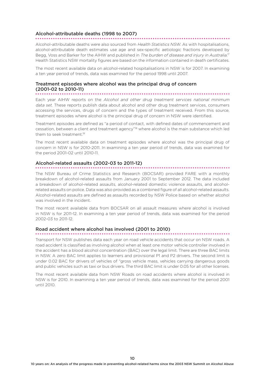#### Alcohol-attributable deaths (1998 to 2007)

Alcohol-attributable deaths were also sourced from Health Statistics NSW. As with hospitalisations, alcohol-attributable death estimates use age and sex-specific aetiologic fractions developed by Begg. Voss and Barker for the AIHW and published in The burden of disease and injury in Australia.<sup>17</sup> Health Statistics NSW mortality figures are based on the information contained in death certificates.

The most recent available data on alcohol-related hospitalisations in NSW is for 2007. In examining a ten year period of trends, data was examined for the period 1998 until 2007.

#### Treatment episodes where alcohol was the principal drug of concern (2001-02 to 2010-11)

Each year AIHW reports on the Alcohol and other drug treatment services national minimum data set. These reports publish data about alcohol and other drug treatment services, consumers accessing the services, drugs of concern and the types of treatment received. From this source, treatment episodes where alcohol is the principal drug of concern in NSW were identified.

Treatment episodes are defined as "a period of contact, with defined dates of commencement and cessation, between a client and treatment agency"<sup>8</sup> where alcohol is the main substance which led them to seek treatment.<sup>19</sup>

The most recent available data on treatment episodes where alcohol was the principal drug of concern in NSW is for 2010-2011. In examining a ten year period of trends, data was examined for the period 2001-02 until 2010-11.

#### Alcohol-related assaults (2002-03 to 2011-12)

#### 

The NSW Bureau of Crime Statistics and Research (BOCSAR) provided FARE with a monthly breakdown of alcohol-related assaults from January 2001 to September 2012. The data included a breakdown of alcohol-related assaults, alcohol-related domestic violence assaults, and alcoholrelated assaults on police. Data was also provided as a combined figure of all alcohol-related assaults. Alcohol-related assaults are defined as assaults recorded by NSW Police based on whether alcohol was involved in the incident.

The most recent available data from BOCSAR on all assault measures where alcohol is involved in NSW is for 2011-12. In examining a ten year period of trends, data was examined for the period 2002-03 to 2011-12.

#### Road accident where alcohol has involved (2001 to 2010)

Transport for NSW publishes data each year on road vehicle accidents that occur on NSW roads. A road accident is classified as involving alcohol when at least one motor vehicle controller involved in the accident has a blood alcohol concentration (BAC) over the legal limit. There are three BAC limits in NSW. A zero BAC limit applies to learners and provisional P1 and P2 drivers. The second limit is under 0.02 BAC for drivers of vehicles of "gross vehicle mass, vehicles carrying dangerous goods and public vehicles such as taxi or bus drivers. The third BAC limit is under 0.05 for all other licenses

The most recent available data from NSW Roads on road accidents where alcohol is involved in NSW is for 2010. In examining a ten year period of trends, data was examined for the period 2001 until 2010.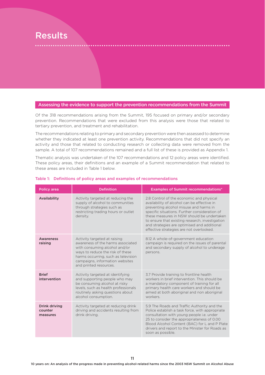### **Results**

Assessing the evidence to support the prevention recommendations from the Summit

Of the 318 recommendations arising from the Summit. 195 focused on primary and/or secondary prevention. Recommendations that were excluded from this analysis were those that related to tertiary prevention, and treatment and rehabilitation.

The recommendations relating to primary and secondary prevention were then assessed to determine whether they indicated at least one prevention activity. Recommendations that did not specify an activity and those that related to conducting research or collecting data were removed from the sample. A total of 107 recommendations remained and a full list of these is provided as Appendix 1.

Thematic analysis was undertaken of the 107 recommendations and 12 policy areas were identified. These policy areas, their definitions and an example of a Summit recommendation that related to these areas are included in Table 1 below.

| <b>Policy area</b>                   | <b>Definition</b>                                                                                                                                                                                                                          | <b>Examples of Summit recommendations*</b>                                                                                                                                                                                                                                                                                                                                     |
|--------------------------------------|--------------------------------------------------------------------------------------------------------------------------------------------------------------------------------------------------------------------------------------------|--------------------------------------------------------------------------------------------------------------------------------------------------------------------------------------------------------------------------------------------------------------------------------------------------------------------------------------------------------------------------------|
| Availability                         | Activity targeted at reducing the<br>supply of alcohol to communities<br>through strategies such as<br>restricting trading hours or outlet<br>density.                                                                                     | 2.8 Control of the economic and physical<br>availability of alcohol can be effective in<br>preventing alcohol misuse and harms in<br>specific situations. Further consideration of<br>these measures in NSW should be undertaken<br>to ensure that existing research, investigation<br>and strategies are optimised and additional<br>effective strategies are not overlooked. |
| <b>Awareness</b><br>raising          | Activity targeted at raising<br>awareness of the harms associated<br>with consuming alcohol and/or<br>ways to reduce the risk of these<br>harms occurring, such as television<br>campaigns, information websites<br>and printed resources. | 8.12 A whole-of-government education<br>campaign is required on the issues of parental<br>and secondary supply of alcohol to underage<br>persons.                                                                                                                                                                                                                              |
| <b>Brief</b><br>intervention         | Activity targeted at identifying<br>and supporting people who may<br>be consuming alcohol at risky<br>levels, such as health professionals<br>routinely asking questions about<br>alcohol consumption.                                     | 3.7 Provide training to frontline health<br>workers in brief intervention. This should be<br>a mandatory component of training for all<br>primary health care workers and should be<br>aimed at both aboriginal and non aboriginal<br>workers                                                                                                                                  |
| Drink driving<br>counter<br>measures | Activity targeted at reducing drink<br>driving and accidents resulting from<br>drink driving.                                                                                                                                              | 5.9 The Roads and Traffic Authority and the<br>Police establish a task force, with appropriate<br>consultation with young people i.e. under<br>25 to consider the appropriateness of 0.00<br>Blood Alcohol Content (BAC) for L and P Plate<br>drivers and report to the Minister for Roads as<br>soon as possible.                                                             |

#### Table 1: Definitions of policy areas and examples of recommendations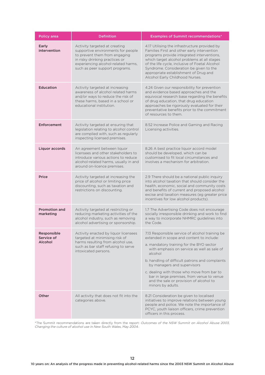| Policy area                                 | <b>Definition</b>                                                                                                                                                                                               | <b>Examples of Summit recommendations*</b>                                                                                                                                                                                                                                                                                                                                                                                                       |
|---------------------------------------------|-----------------------------------------------------------------------------------------------------------------------------------------------------------------------------------------------------------------|--------------------------------------------------------------------------------------------------------------------------------------------------------------------------------------------------------------------------------------------------------------------------------------------------------------------------------------------------------------------------------------------------------------------------------------------------|
| Early<br>intervention                       | Activity targeted at creating<br>supportive environments for people<br>to prevent them from engaging<br>in risky drinking practices or<br>experiencing alcohol-related harms,<br>such as peer support programs. | 4.17 Utilising the infrastructure provided by<br>Families First and other early intervention<br>programs provide integrated interventions.<br>which target alcohol problems at all stages<br>of the life cycle, inclusive of Foetal Alcohol<br>Syndrome. Consideration be given to the<br>appropriate establishment of Drug and<br>Alcohol Early Childhood Nurses.                                                                               |
| Education                                   | Activity targeted at increasing<br>awareness of alcohol related harms<br>and/or ways to reduce the risk of<br>these harms, based in a school or<br>educational institution.                                     | 4.24 Given our responsibility for prevention<br>and evidence based approaches and the<br>equivocal research base regarding the benefits<br>of drug education, that drug education<br>approaches be rigorously evaluated for their<br>preventative benefits prior to the commitment<br>of resources to them.                                                                                                                                      |
| Enforcement                                 | Activity targeted at ensuring that<br>legislation relating to alcohol control<br>are complied with, such as regularly<br>inspecting licensed premises.                                                          | 8.52 Increase Police and Gaming and Racing<br>Licensing activities.                                                                                                                                                                                                                                                                                                                                                                              |
| Liquor accords                              | An agreement between liquor<br>licensees and other stakeholders to<br>introduce various actions to reduce<br>alcohol-related harms, usually in and<br>around on-licence premises.                               | 8.26 A best practice liquor accord model<br>should be developed, which can be<br>customised to fit local circumstances and<br>involves a mechanism for arbitration.                                                                                                                                                                                                                                                                              |
| Price                                       | Activity targeted at increasing the<br>price of alcohol or limiting price<br>discounting, such as taxation and<br>restrictions on discounting.                                                                  | 2.9 There should be a national public inquiry<br>into alcohol taxation that should consider the<br>health, economic, social and community costs<br>and benefits of current and proposed alcohol<br>excise and taxation measures (eg greater price<br>incentives for low alcohol products).                                                                                                                                                       |
| <b>Promotion and</b><br>marketing           | Activity targeted at restricting or<br>reducing marketing activities of the<br>alcohol industry, such as removing<br>alcohol advertising or sponsorship.                                                        | 1.7 The Advertising Code does not encourage<br>socially irresponsible drinking and work to find<br>a way to incorporate NHMRC guidelines into<br>the Code.                                                                                                                                                                                                                                                                                       |
| Responsible<br>Service of<br><b>Alcohol</b> | Activity enacted by liquor licensees<br>targeted at minimising risk of<br>harms resulting from alcohol use,<br>such as bar staff refusing to serve<br>intoxicated persons.                                      | 7.13 Responsible service of alcohol training be<br>extended in scope and content to include:<br>a. mandatory training for the BYO sector<br>with emphasis on service as well as sale of<br>alcohol<br>b. handling of difficult patrons and complaints<br>by managers and supervisors<br>c. dealing with those who move from bar to<br>bar in large premises, from venue to venue<br>and the sale or provision of alcohol to<br>minors by adults. |
| Other                                       | All activity that does not fit into the<br>categories above.                                                                                                                                                    | 8.21 Consideration be given to localised<br>initiatives to improve relations between young<br>people and police. We note the importance of<br>PCYC, youth liaison officers, crime prevention<br>officers in this process.                                                                                                                                                                                                                        |

\*The Summit recommendations are taken directly from the report: Outcomes of the NSW Summit on Alcohol Abuse 2003, Changing the culture of alcohol use in New South Wales, May 2004.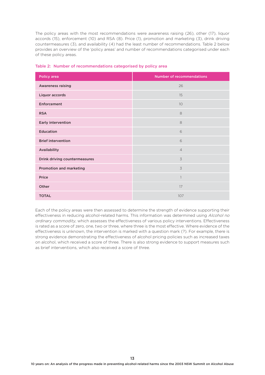The policy areas with the most recommendations were awareness raising (26), other (17), liquor accords (15), enforcement (10) and RSA (8). Price (1), promotion and marketing (3), drink driving countermeasures (3), and availability (4) had the least number of recommendations. Table 2 below provides an overview of the 'policy areas' and number of recommendations categorised under each of these policy areas.

| <b>Policy area</b>            | <b>Number of recommendations</b> |
|-------------------------------|----------------------------------|
| <b>Awareness raising</b>      | 26                               |
| Liquor accords                | 15                               |
| Enforcement                   | 10                               |
| <b>RSA</b>                    | 8                                |
| Early intervention            | 8                                |
| Education                     | 6                                |
| <b>Brief intervention</b>     | 6                                |
| Availability                  | $\overline{4}$                   |
| Drink driving countermeasures | 3                                |
| Promotion and marketing       | 3                                |
| Price                         | 1                                |
| Other                         | 17                               |
| <b>TOTAL</b>                  | 107                              |

#### Table 2: Number of recommendations categorised by policy area

Each of the policy areas were then assessed to determine the strength of evidence supporting their effectiveness in reducing alcohol-related harms. This information was determined using Alcohol no ordinary commodity, which assesses the effectiveness of various policy interventions. Effectiveness is rated as a score of zero, one, two or three, where three is the most effective. Where evidence of the effectiveness is unknown, the intervention is marked with a question mark (?). For example, there is strong evidence demonstrating the effectiveness of alcohol pricing policies such as increased taxes on alcohol, which received a score of three. There is also strong evidence to support measures such as brief interventions, which also received a score of three.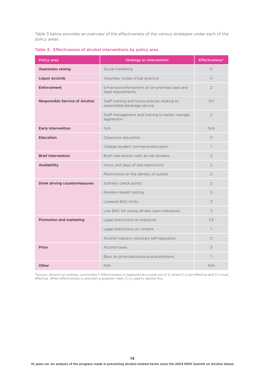Table 3 below provides an overview of the effectiveness of the various strategies under each of the policy areas.

|  |  |  | Table 3: Effectiveness of alcohol interventions by policy area |  |
|--|--|--|----------------------------------------------------------------|--|
|--|--|--|----------------------------------------------------------------|--|

| <b>Policy area</b>                    | <b>Strategy or intervention</b>                                               | Effectiveness*        |
|---------------------------------------|-------------------------------------------------------------------------------|-----------------------|
| <b>Awareness raising</b>              | Social marketing                                                              | $\bigcirc$            |
| Liquor accords                        | Voluntary codes of bar practice                                               | $\bigcirc$            |
| Enforcement                           | Enhanced enforcement of on-premises laws and<br>legal requirements            | $\overline{2}$        |
| <b>Responsible Service of Alcohol</b> | Staff training and house policies relating to<br>responsible beverage service | O/1                   |
|                                       | Staff management and training to better manage<br>aggression                  | $\overline{2}$        |
| <b>Early intervention</b>             | N/A                                                                           | N/A                   |
| Education                             | Classroom education                                                           | $\bigcirc$            |
|                                       | College student normative education                                           | $\mathbf{1}$          |
| <b>Brief intervention</b>             | Brief intervention with at-risk drinkers                                      | 3                     |
| Availability                          | Hours and days of sale restrictions                                           | $\overline{2}$        |
|                                       | Restrictions on the density of outlets                                        | 2                     |
| Drink driving countermeasures         | Sobriety check points                                                         | $\mathfrak{D}$        |
|                                       | Random breath testing                                                         | 3                     |
|                                       | Lowered BAC limits                                                            | 3                     |
|                                       | Low BAC for young drivers (zero tolerance)                                    | 3                     |
| Promotion and marketing               | Legal restrictions on exposure                                                | 1/2                   |
|                                       | Legal restrictions on content                                                 | $\boldsymbol{\gamma}$ |
|                                       | Alcohol industry voluntary self-regulation                                    | $\bigcirc$            |
| Price                                 | Alcohol taxes                                                                 | 3                     |
|                                       | Bans on price discounts and promotions                                        | $\tilde{.}$           |
| Other                                 | N/A                                                                           | N/A                   |

\*Source: *Alcohol no ordinary commodity.<sup>20</sup>* Effectiveness is measured as a score out of 3, where 0 is not effective and 3 is most<br>effective. When effectiveness is unknown a question mark (?) is used to denote this.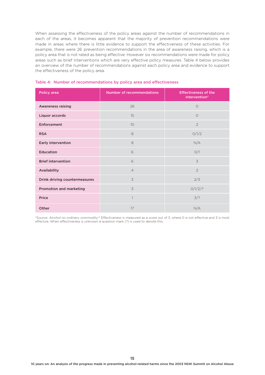When assessing the effectiveness of the policy areas against the number of recommendations in each of the areas, it becomes apparent that the majority of prevention recommendations were made in areas where there is little evidence to support the effectiveness of these activities. For example, there were 26 prevention recommendations in the area of awareness raising, which is a policy area that is not rated as being effective. However six recommendations were made for policy areas such as brief interventions which are very effective policy measures. Table 4 below provides an overview of the number of recommendations against each policy area and evidence to support the effectiveness of the policy area.

| Policy area                   | <b>Number of recommendations</b> | <b>Effectiveness of the</b><br>intervention* |
|-------------------------------|----------------------------------|----------------------------------------------|
| <b>Awareness raising</b>      | 26                               | $\bigcirc$                                   |
| Liquor accords                | 15                               | $\circ$                                      |
| Enforcement                   | 10                               | $\overline{2}$                               |
| <b>RSA</b>                    | 8                                | O/1/2                                        |
| Early intervention            | 8                                | N/A                                          |
| <b>Education</b>              | 6                                | O/1                                          |
| <b>Brief intervention</b>     | 6                                | 3                                            |
| Availability                  | $\overline{4}$                   | $\mathfrak{D}$                               |
| Drink driving countermeasures | 3                                | 2/3                                          |
| Promotion and marketing       | 3                                | 0/1/2/?                                      |
| Price                         | 1                                | 3/?                                          |
| Other                         | 17                               | N/A                                          |

#### Table 4: Number of recommendations by policy area and effectiveness

\*Source: *Alcohol no ordinary commodity.<sup>21</sup>* Effectiveness is measured as a score out of 3, where 0 is not effective and 3 is most effective. When effectiveness is unknown a question mark (?) is used to denote this.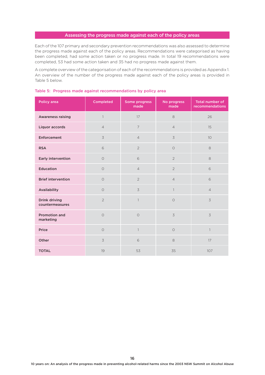#### Assessing the progress made against each of the policy areas

Each of the 107 primary and secondary prevention recommendations was also assessed to determine the progress made against each of the policy areas. Recommendations were categorised as having been completed, had some action taken or no progress made. In total 19 recommendations were completed, 53 had some action taken and 35 had no progress made against them.

A complete overview of the categorisation of each of the recommendations is provided as Appendix 1. An overview of the number of the progress made against each of the policy areas is provided in Table 5 below.

| <b>Policy area</b>                | Completed      | Some progress<br>made | No progress<br>made | Total number of<br>recommendations |
|-----------------------------------|----------------|-----------------------|---------------------|------------------------------------|
| <b>Awareness raising</b>          | $\mathbf{1}$   | 17                    | 8                   | 26                                 |
| Liquor accords                    | $\overline{4}$ | $\overline{7}$        | $\overline{4}$      | 15                                 |
| Enforcement                       | 3              | $\overline{4}$        | 3                   | 10 <sup>°</sup>                    |
| <b>RSA</b>                        | 6              | $\overline{2}$        | $\circ$             | 8                                  |
| Early intervention                | $\Omega$       | 6                     | $\overline{2}$      | 8                                  |
| <b>Education</b>                  | $\bigcirc$     | $\overline{4}$        | $\overline{2}$      | 6                                  |
| <b>Brief intervention</b>         | $\Omega$       | $\mathfrak{D}$        | $\overline{4}$      | 6                                  |
| Availability                      | $\circ$        | 3                     | $\mathbf{1}$        | $\overline{4}$                     |
| Drink driving<br>countermeasures  | $\overline{2}$ | $\mathbf{1}$          | $\bigcirc$          | 3                                  |
| <b>Promotion and</b><br>marketing | $\bigcirc$     | $\circ$               | 3                   | 3                                  |
| Price                             | $\bigcirc$     | $\mathbf{1}$          | $\bigcirc$          | $\mathbf{1}$                       |
| Other                             | 3              | 6                     | 8                   | 17                                 |
| <b>TOTAL</b>                      | 19             | 53                    | 35                  | 107                                |

#### Table 5: Progress made against recommendations by policy area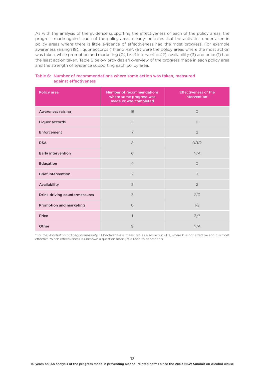As with the analysis of the evidence supporting the effectiveness of each of the policy areas, the progress made against each of the policy areas clearly indicates that the activities undertaken in policy areas where there is little evidence of effectiveness had the most progress. For example awareness raising (18), liquor accords (11) and RSA (8) were the policy areas where the most action was taken, while promotion and marketing (0), brief intervention(2), availability (3) and price (1) had the least action taken. Table 6 below provides an overview of the progress made in each policy area and the strength of evidence supporting each policy area.

| <b>Policy area</b>            | <b>Number of recommendations</b><br>where some progress was<br>made or was completed | <b>Effectiveness of the</b><br>intervention* |
|-------------------------------|--------------------------------------------------------------------------------------|----------------------------------------------|
| <b>Awareness raising</b>      | 18                                                                                   | $\circ$                                      |
| Liquor accords                | 11                                                                                   | $\circ$                                      |
| Enforcement                   | $\overline{7}$                                                                       | $\overline{2}$                               |
| <b>RSA</b>                    | 8                                                                                    | O/1/2                                        |
| Early intervention            | 6                                                                                    | N/A                                          |
| Education                     | $\overline{4}$                                                                       | $\bigcirc$                                   |
| <b>Brief intervention</b>     | $\overline{2}$                                                                       | 3                                            |
| Availability                  | 3                                                                                    | $\mathfrak{D}$                               |
| Drink driving countermeasures | 3                                                                                    | 2/3                                          |
| Promotion and marketing       | $\circ$                                                                              | 1/2                                          |
| Price                         | $\mathbf{1}$                                                                         | 3/?                                          |
| Other                         | 9                                                                                    | N/A                                          |

#### Table 6: Number of recommendations where some action was taken, measured against effectiveness

\*Source: Alcohol no ordinary commodity.<sup>21</sup> Effectiveness is measured as a score out of 3, where 0 is not effective and 3 is most effective. When effectiveness is unknown a question mark (?) is used to denote this.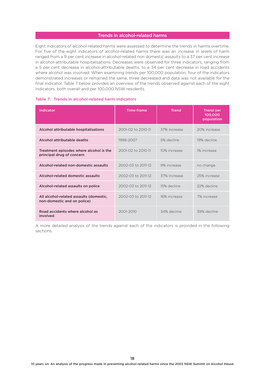#### Trends in alcohol-related harms

Eight indicators of alcohol-related harms were assessed to determine the trends in harms overtime. For five of the eight indicators of alcohol-related harms there was an increase in levels of harm ranged from a 9 per cent increase in alcohol-related non domestic assaults to a 37 per cent increase in alcohol-attributable hospitalisations. Decreases were observed for three indicators, ranging from a 5 per cent decrease in alcohol-attributable deaths, to a 34 per cent decrease in road accidents where alcohol was involved. When examining trends per 100,000 population, four of the indicators demonstrated increases or remained the same, three decreased and data was not available for the final indicator. Table 7 below provides an overview of the trends observed against each of the eight indicators, both overall and per 100,000 NSW residents.

| Indicator                                                              | Time-frame         | <b>Trend</b> | <b>Trend per</b><br>100,000<br>population |
|------------------------------------------------------------------------|--------------------|--------------|-------------------------------------------|
| Alcohol attributable hospitalisations                                  | 2001-02 to 2010-11 | 37% increase | 20% increase                              |
| Alcohol attributable deaths                                            | 1998-2007          | 5% decline   | 19% decline                               |
| Treatment episodes where alcohol is the<br>principal drug of concern   | 2001-02 to 2010-11 | 10% increase | 1% increase                               |
| Alcohol-related non-domestic assaults                                  | 2002-03 to 2011-12 | 9% increase  | no change                                 |
| Alcohol-related domestic assaults                                      | 2002-03 to 2011-12 | 37% increase | 25% increase                              |
| Alcohol-related assaults on police                                     | 2002-03 to 2011-12 | 15% decline  | 22% decline                               |
| All alcohol-related assaults (domestic,<br>non-domestic and on police) | 2002-03 to 2011-12 | 16% increase | 7% increase                               |
| Road accidents where alcohol as<br>involved                            | 2001-2010          | 34% decline  | 39% decline                               |

#### Table 7: Trends in alcohol-related harm indicators

A more detailed analysis of the trends against each of the indicators is provided in the following sections.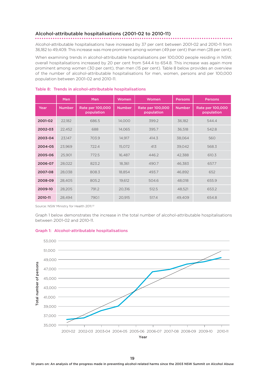#### Alcohol-attributable hospitalisations (2001-02 to 2010-11)

Alcohol-attributable hospitalisations have increased by 37 per cent between 2001-02 and 2010-11 from 36,182 to 49,409. This increase was more prominent among women (49 per cent) than men (28 per cent).

\*\*\*\*\*\*\*\*\*\*\*\*\*\*\*\*

When examining trends in alcohol-attributable hospitalisations per 100,000 people residing in NSW, overall hospitalisations increased by 20 per cent from 544.4 to 654.8. This increase was again more prominent among women (30 per cent), than men (15 per cent). Table 8 below provides an overview of the number of alcohol-attributable hospitalisations for men, women, persons and per 100,000 population between 2001-02 and 2010-11.

|         | <b>Men</b>    | <b>Men</b>                            | Women         | Women                          | Persons       | <b>Persons</b>                 |
|---------|---------------|---------------------------------------|---------------|--------------------------------|---------------|--------------------------------|
| Year    | <b>Number</b> | <b>Rate per 100,000</b><br>population | <b>Number</b> | Rate per 100,000<br>population | <b>Number</b> | Rate per 100,000<br>population |
| 2001-02 | 22,182        | 686.5                                 | 14,000        | 399.2                          | 36,182        | 544.4                          |
| 2002-03 | 22,452        | 688                                   | 14,065        | 395.7                          | 36,518        | 542.8                          |
| 2003-04 | 23,147        | 703.9                                 | 14,917        | 414.3                          | 38,064        | 560                            |
| 2004-05 | 23,969        | 722.4                                 | 15,072        | 413                            | 39,042        | 568.3                          |
| 2005-06 | 25,901        | 772.5                                 | 16,487        | 446.2                          | 42,388        | 610.3                          |
| 2006-07 | 28,022        | 823.2                                 | 18,361        | 490.7                          | 46,383        | 657.7                          |
| 2007-08 | 28,038        | 808.3                                 | 18,854        | 493.7                          | 46,892        | 652                            |
| 2008-09 | 28,405        | 805.2                                 | 19,612        | 504.6                          | 48,018        | 655.9                          |
| 2009-10 | 28,205        | 791.2                                 | 20,316        | 512.5                          | 48,521        | 653.2                          |
| 2010-11 | 28,494        | 790.1                                 | 20,915        | 517.4                          | 49,409        | 654.8                          |

#### Table 8: Trends in alcohol-attributable hospitalisations

Source: NSW Ministry for Health 2011.22

Graph 1 below demonstrates the increase in the total number of alcohol-attributable hospitalisations between 2001-02 and 2010-11

#### Graph 1: Alcohol-attributable hospitalisations

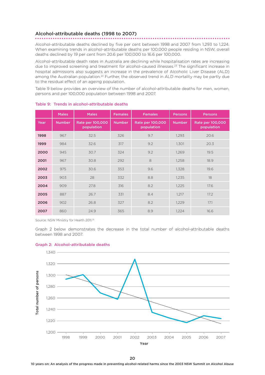#### Alcohol-attributable deaths (1998 to 2007)

Alcohol-attributable deaths declined by five per cent between 1998 and 2007 from 1,293 to 1,224. When examining trends in alcohol-attributable deaths per 100,000 people residing in NSW, overall deaths declined by 19 per cent from 20.6 per 100,000 to 16.6 per 100,000.

Alcohol-attributable death rates in Australia are declining while hospitalisation rates are increasing due to improved screening and treatment for alcohol-caused illnesses.<sup>23</sup> The significant increase in hospital admissions also suggests an increase in the prevalence of Alcoholic Liver Disease (ALD) among the Australian population.<sup>24</sup> Further, the observed trend in ALD mortality may be partly due to the residual effect of an ageing population.

Table 9 below provides an overview of the number of alcohol-attributable deaths for men, women, persons and per 100,000 population between 1998 and 2007.

|      | <b>Males</b>  | <b>Males</b>                   | <b>Females</b> | <b>Females</b>                 | <b>Persons</b> | <b>Persons</b>                 |
|------|---------------|--------------------------------|----------------|--------------------------------|----------------|--------------------------------|
| Year | <b>Number</b> | Rate per 100,000<br>population | <b>Number</b>  | Rate per 100,000<br>population | <b>Number</b>  | Rate per 100,000<br>population |
| 1998 | 967           | 32.5                           | 326            | 9.7                            | 1,293          | 20.6                           |
| 1999 | 984           | 32.6                           | 317            | 9.2                            | 1,301          | 20.3                           |
| 2000 | 945           | 30.7                           | 324            | 9.2                            | 1,269          | 19.5                           |
| 2001 | 967           | 30.8                           | 292            | 8                              | 1,258          | 18.9                           |
| 2002 | 975           | 30.6                           | 353            | 9.6                            | 1,328          | 19.6                           |
| 2003 | 903           | 28                             | 332            | 8.8                            | 1,235          | 18                             |
| 2004 | 909           | 27.8                           | 316            | 8.2                            | 1,225          | 17.6                           |
| 2005 | 887           | 26.7                           | 331            | 8.4                            | 1,217          | 17.2                           |
| 2006 | 902           | 26.8                           | 327            | 8.2                            | 1,229          | 17.1                           |
| 2007 | 860           | 24.9                           | 365            | 8.9                            | 1,224          | 16.6                           |

#### Table 9: Trends in alcohol-attributable deaths

Source: NSW Ministry for Health 2011.25

Graph 2 below demonstrates the decrease in the total number of alcohol-attributable deaths between 1998 and 2007.



#### Graph 2: Alcohol-attributable deaths

10 years on: An analysis of the progress made in preventing alcohol-related harms since the 2003 NSW Summit on Alcohol Abuse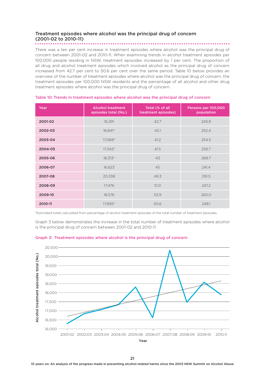#### Treatment episodes where alcohol was the principal drug of concern (2001-02 to 2010-11)

There was a ten per cent increase in treatment episodes where alcohol was the principal drug of concern between 2001-02 and 2010-11. When examining trends in alcohol treatment episodes per 100,000 people residing in NSW, treatment episodes increased by 1 per cent. The proportion of all drug and alcohol treatment episodes which involved alcohol as the principal drug of concern increased from 42.7 per cent to 50.6 per cent over the same period. Table 10 below provides an overview of the number of treatment episodes where alcohol was the principal drug of concern, the treatment episodes per 100,000 NSW residents and the percentage of all alcohol and other drug treatment episodes where alcohol was the principal drug of concern.

| Year    | <b>Alcohol treatment</b><br>episodes total (No.) | Total (% of all<br>treatment episodes) | Persons per 100,000<br>population |
|---------|--------------------------------------------------|----------------------------------------|-----------------------------------|
| 2001-02 | 16,291                                           | 42.7                                   | 245.8                             |
| 2002-03 | 16,841*                                          | 42.1                                   | 252.4                             |
| 2003-04 | 17,068*                                          | 41.2                                   | 254.5                             |
| 2004-05 | 17,342*                                          | 41.5                                   | 256.7                             |
| 2005-06 | 18,313*                                          | 43                                     | 268.7                             |
| 2006-07 | 16,623                                           | 45                                     | 241.4                             |
| 2007-08 | 20,338                                           | 49.3                                   | 291.5                             |
| 2008-09 | 17,476                                           | 51.0                                   | 247.2                             |
| 2009-10 | 18,576                                           | 53.9                                   | 260.0                             |
| 2010-11 | 17,895*                                          | 50.6                                   | 248.1                             |

#### Table 10: Trends in treatment episodes where alcohol was the principal drug of concern

\*Estimated totals calculated from percentage of alcohol treatment episodes of the total number of treatment episodes.

Graph 3 below demonstrates the increase in the total number of treatment episodes where alcohol is the principal drug of concern between 2001-02 and 2010-11.

#### Graph 3: Treatment episodes where alcohol is the principal drug of concern



10 years on: An analysis of the progress made in preventing alcohol-related harms since the 2003 NSW Summit on Alcohol Abuse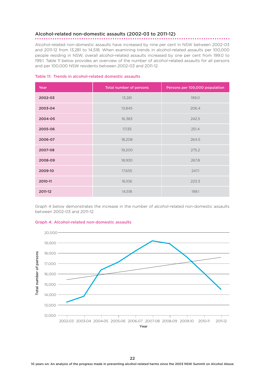#### Alcohol-related non-domestic assaults (2002-03 to 2011-12)

Alcohol-related non-domestic assaults have increased by nine per cent in NSW between 2002-03 and 2011-12 from 13,281 to 14,518. When examining trends in alcohol-related assaults per 100,000 people residing in NSW, overall alcohol-related assaults increased by one per cent from 199.0 to 199.1. Table 11 below provides an overview of the number of alcohol-related assaults for all persons and per 100,000 NSW residents between 2002-03 and 2011-12.

. . . . . . . . . . . . . . . . .

| Year    | Total number of persons | Persons per 100,000 population |
|---------|-------------------------|--------------------------------|
| 2002-03 | 13,281                  | 199.0                          |
| 2003-04 | 13,845                  | 206.4                          |
| 2004-05 | 16,383                  | 242.5                          |
| 2005-06 | 17,135                  | 251.4                          |
| 2006-07 | 18,208                  | 264.5                          |
| 2007-08 | 19,200                  | 275.2                          |
| 2008-09 | 18,930                  | 267.8                          |
| 2009-10 | 17,655                  | 247.1                          |
| 2010-11 | 16,106                  | 223.3                          |
| 2011-12 | 14,518                  | 199.1                          |

#### Table 11: Trends in alcohol-related domestic assaults

Graph 4 below demonstrates the increase in the number of alcohol-related non-domestic assaults between 2002-03 and 2011-12.



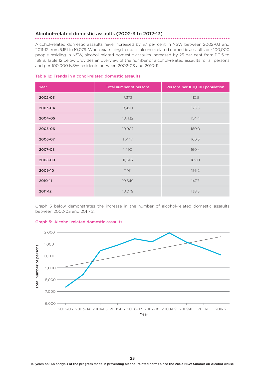#### Alcohol-related domestic assaults (2002-3 to 2012-13)

Alcohol-related domestic assaults have increased by 37 per cent in NSW between 2002-03 and 2011-12 from 5,151 to 10,079. When examining trends in alcohol-related domestic assaults per 100,000 people residing in NSW, alcohol-related domestic assaults increased by 25 per cent from 110.5 to 138.3. Table 12 below provides an overview of the number of alcohol-related assaults for all persons and per 100,000 NSW residents between 2002-03 and 2010-11.

| Year    | Total number of persons | Persons per 100,000 population |
|---------|-------------------------|--------------------------------|
| 2002-03 | 7,373                   | 110.5                          |
| 2003-04 | 8,420                   | 125.5                          |
| 2004-05 | 10,432                  | 154.4                          |
| 2005-06 | 10,907                  | 160.0                          |
| 2006-07 | 11,447                  | 166.3                          |
| 2007-08 | 11,190                  | 160.4                          |
| 2008-09 | 11,946                  | 169.0                          |
| 2009-10 | 11,161                  | 156.2                          |
| 2010-11 | 10,649                  | 147.7                          |
| 2011-12 | 10,079                  | 138.3                          |

#### Table 12: Trends in alcohol-related domestic assaults

Graph 5 below demonstrates the increase in the number of alcohol-related domestic assaults between 2002-03 and 2011-12.



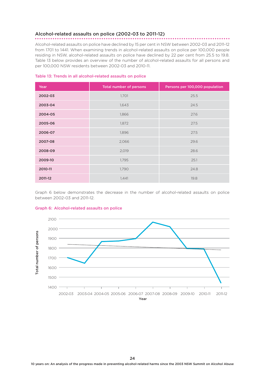#### Alcohol-related assaults on police (2002-03 to 2011-12)

Alcohol-related assaults on police have declined by 15 per cent in NSW between 2002-03 and 2011-12 from 1701 to 1441. When examining trends in alcohol-related assaults on police per 100,000 people residing in NSW, alcohol-related assaults on police have declined by 22 per cent from 25.5 to 19.8. Table 13 below provides an overview of the number of alcohol-related assaults for all persons and per 100,000 NSW residents between 2002-03 and 2010-11.

| Year    | Total number of persons | Persons per 100,000 population |
|---------|-------------------------|--------------------------------|
| 2002-03 | 1,701                   | 25.5                           |
| 2003-04 | 1,643                   | 24.5                           |
| 2004-05 | 1,866                   | 27.6                           |
| 2005-06 | 1,872                   | 27.5                           |
| 2006-07 | 1,896                   | 27.5                           |
| 2007-08 | 2,066                   | 29.6                           |
| 2008-09 | 2,019                   | 28.6                           |
| 2009-10 | 1,795                   | 25.1                           |
| 2010-11 | 1,790                   | 24.8                           |
| 2011-12 | 1,441                   | 19.8                           |

#### Table 13: Trends in all alcohol-related assaults on police

Graph 6 below demonstrates the decrease in the number of alcohol-related assaults on police between 2002-03 and 2011-12.



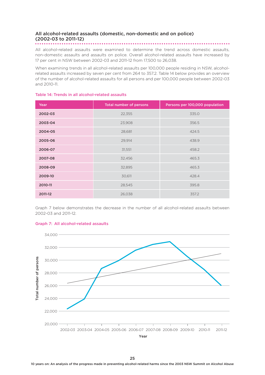#### All alcohol-related assaults (domestic, non-domestic and on police) (2002-03 to 2011-12)

All alcohol-related assaults were examined to determine the trend across domestic assaults, non-domestic assaults and assaults on police. Overall alcohol-related assaults have increased by 17 per cent in NSW between 2002-03 and 2011-12 from 17,500 to 26,038.

When examining trends in all alcohol-related assaults per 100,000 people residing in NSW, alcoholrelated assaults increased by seven per cent from 264 to 357.2. Table 14 below provides an overview of the number of alcohol-related assaults for all persons and per 100,000 people between 2002-03 and 2010-11.

| Year    | <b>Total number of persons</b> | Persons per 100,000 population |
|---------|--------------------------------|--------------------------------|
| 2002-03 | 22,355                         | 335.0                          |
| 2003-04 | 23,908                         | 356.5                          |
| 2004-05 | 28,681                         | 424.5                          |
| 2005-06 | 29,914                         | 438.9                          |
| 2006-07 | 31,551                         | 458.2                          |
| 2007-08 | 32,456                         | 465.3                          |
| 2008-09 | 32,895                         | 465.3                          |
| 2009-10 | 30,611                         | 428.4                          |
| 2010-11 | 28,545                         | 395.8                          |
| 2011-12 | 26,038                         | 357.2                          |

#### Table 14: Trends in all alcohol-related assaults

Graph 7 below demonstrates the decrease in the number of all alcohol-related assaults between 2002-03 and 2011-12.



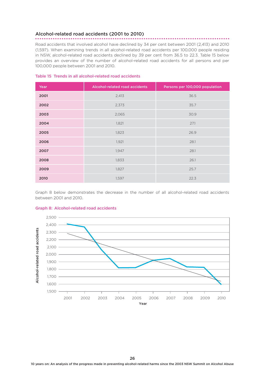#### Alcohol-related road accidents (2001 to 2010)

Road accidents that involved alcohol have declined by 34 per cent between 2001 (2,413) and 2010 (1,597). When examining trends in all alcohol-related road accidents per 100,000 people residing in NSW, alcohol-related road accidents declined by 39 per cent from 36.5 to 22.3. Table 15 below provides an overview of the number of alcohol-related road accidents for all persons and per 100,000 people between 2001 and 2010.

| Year | Alcohol-related road accidents | Persons per 100,000 population |
|------|--------------------------------|--------------------------------|
| 2001 | 2,413                          | 36.5                           |
| 2002 | 2,373                          | 35.7                           |
| 2003 | 2,065                          | 30.9                           |
| 2004 | 1,821                          | 27.1                           |
| 2005 | 1,823                          | 26.9                           |
| 2006 | 1,921                          | 28.1                           |
| 2007 | 1,947                          | 28.1                           |
| 2008 | 1,833                          | 26.1                           |
| 2009 | 1,827                          | 25.7                           |
| 2010 | 1,597                          | 22.3                           |

#### Table 15 Trends in all alcohol-related road accidents

Graph 8 below demonstrates the decrease in the number of all alcohol-related road accidents between 2001 and 2010.



#### Graph 8: Alcohol-related road accidents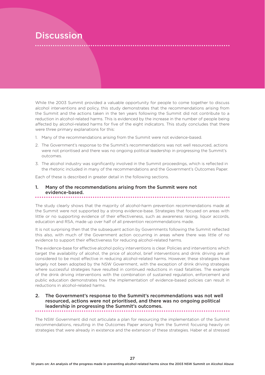### **Discussion**

While the 2003 Summit provided a valuable opportunity for people to come together to discuss alcohol interventions and policy, this study demonstrates that the recommendations arising from the Summit and the actions taken in the ten years following the Summit did not contribute to a reduction in alcohol-related harms. This is evidenced by the increase in the number of people being affected by alcohol-related harms for five of the eight indicators. This study concludes that there were three primary explanations for this:

...............

- 1. Many of the recommendations arising from the Summit were not evidence-based.
- 2. The Government's response to the Summit's recommendations was not well resourced, actions were not prioritised and there was no ongoing political leadership in progressing the Summit's outcomes.
- 3. The alcohol industry was significantly involved in the Summit proceedings, which is reflected in the rhetoric included in many of the recommendations and the Government's Outcomes Paper.

Each of these is described in greater detail in the following sections.

#### $\mathbf{1}$ Many of the recommendations arising from the Summit were not evidence-based.

The study clearly shows that the majority of alcohol-harm prevention recommendations made at the Summit were not supported by a strong evidence-base. Strategies that focused on areas with little or no supporting evidence of their effectiveness, such as awareness raising, liquor accords, education and RSA, made up over half of all prevention recommendations made.

It is not surprising then that the subsequent action by Governments following the Summit reflected this also, with much of the Government action occurring in areas where there was little of no evidence to support their effectiveness for reducing alcohol-related harms.

The evidence-base for effective alcohol policy interventions is clear. Policies and interventions which target the availability of alcohol, the price of alcohol, brief interventions and drink driving are all considered to be most effective in reducing alcohol-related harms. However, these strategies have largely not been adopted by the NSW Government, with the exception of drink driving strategies where successful strategies have resulted in continued reductions in road fatalities. The example of the drink driving interventions with the combination of sustained regulation, enforcement and public education demonstrates how the implementation of evidence-based policies can result in reductions in alcohol-related harms.

#### The Government's response to the Summit's recommendations was not well  $\mathcal{P}$ resourced, actions were not prioritised, and there was no ongoing political leadership in progressing the Summit's outcomes.

The NSW Government did not articulate a plan for resourcing the implementation of the Summit recommendations, resulting in the Outcomes Paper arising from the Summit focusing heavily on strategies that were already in existence and the extension of these strategies. Haber et al stressed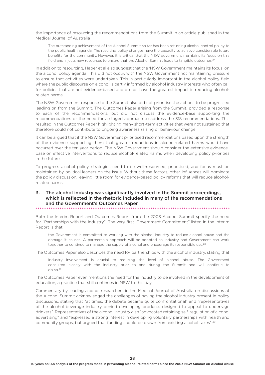the importance of resourcing the recommendations from the Summit in an article published in the Medical Journal of Australia

The outstanding achievement of the Alcohol Summit so far has been returning alcohol control policy to the public health agenda. The resulting policy changes have the capacity to achieve considerable future benefits for the community. However, it is critical that the NSW government maintains its focus on this field and injects new resources to ensure that the Alcohol Summit leads to tangible outcomes.<sup>27</sup>

In addition to resourcing, Haber et al also suggest that the 'NSW Government maintains its focus' on the alcohol policy agenda. This did not occur, with the NSW Government not maintaining pressure to ensure that activities were undertaken. This is particularly important in the alcohol policy field where the public discourse on alcohol is partly informed by alcohol industry interests who often call for policies that are not evidence-based and do not have the greatest impact in reducing alcoholrelated harms.

The NSW Government response to the Summit also did not prioritise the actions to be progressed leading on from the Summit. The Outcomes Paper arising from the Summit, provided a response to each of the recommendations, but did not discuss the evidence-base supporting the recommendations or the need for a staged approach to address the 318 recommendations. This resulted in the Outcomes Paper highlighting many short-term activities that were not sustained that therefore could not contribute to ongoing awareness raising or behaviour change.

It can be argued that if the NSW Government prioritised recommendations based upon the strength of the evidence supporting them that greater reductions in alcohol-related harms would have occurred over the ten year period. The NSW Government should consider the extensive evidencebase on effective interventions to reduce alcohol-related harms when developing policy priorities in the future.

To progress alcohol policy, strategies need to be well-resourced, prioritised, and focus must be maintained by political leaders on the issue. Without these factors, other influences will dominate the policy discussion, leaving little room for evidence-based policy reforms that will reduce alcoholrelated harms.

 $\overline{3}$ . The alcohol industry was significantly involved in the Summit proceedings. which is reflected in the rhetoric included in many of the recommendations and the Government's Outcomes Paper.

Both the Interim Report and Outcomes Report from the 2003 Alcohol Summit specify the need for "Partnerships with the industry". The very first 'Government Commitment" listed in the Interim Report is that

the Government is committed to working with the alcohol industry to reduce alcohol abuse and the damage it causes. A partnership approach will be adopted so industry and Government can work together to continue to manage the supply of alcohol and encourage its responsible use.<sup>28</sup>

The Outcomes Paper also describes the need for partnerships with the alcohol industry, stating that

Industry involvement is crucial to reducing the level of alcohol abuse. The Government consulted closely with the industry prior to and during the Summit and will continue to do so. $29$ 

The Outcomes Paper even mentions the need for the industry to be involved in the development of education, a practice that still continues in NSW to this day.

Commentary by leading alcohol researchers in the Medical Journal of Australia on discussions at the Alcohol Summit acknowledged the challenges of having the alcohol industry present in policy discussions, stating that "at times, the debate became quite confrontational" and "representatives of the alcohol beverage industry denied developing products designed to appeal to under-age drinkers". Representatives of the alcohol industry also "advocated retaining self-regulation of alcohol advertising" and "expressed a strong interest in developing voluntary partnerships with health and community groups, but argued that funding should be drawn from existing alcohol taxes".<sup>30</sup>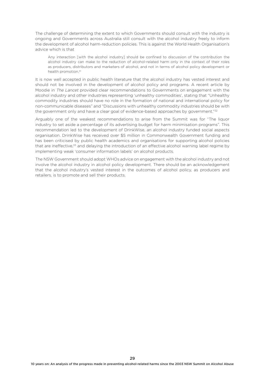The challenge of determining the extent to which Governments should consult with the industry is ongoing and Governments across Australia still consult with the alcohol industry freely to inform the development of alcohol harm-reduction policies. This is against the World Health Organisation's advice which is that

Any interaction [with the alcohol industry] should be confined to discussion of the contribution the alcohol industry can make to the reduction of alcohol-related harm only in the context of their roles as producers, distributors and marketers of alcohol, and not in terms of alcohol policy development or health promotion.<sup>31</sup>

It is now well accepted in public health literature that the alcohol industry has vested interest and should not be involved in the development of alcohol policy and programs. A recent article by Moodie in The Lancet provided clear recommendations to Governments on engagement with the alcohol industry and other industries representing 'unhealthy commodities', stating that "Unhealthy commodity industries should have no role in the formation of national and international policy for non-communicable diseases" and "Discussions with unhealthy commodity industries should be with the government only and have a clear goal of evidence-based approaches by government."<sup>32</sup>

Arguably one of the weakest recommendations to arise from the Summit was for "The liquor industry to set aside a percentage of its advertising budget for harm minimisation programs". This recommendation led to the development of DrinkWise, an alcohol industry funded social aspects organisation. DrinkWise has received over \$5 million in Commonwealth Government funding and has been criticised by public health academics and organisations for supporting alcohol policies that are ineffective,<sup>33</sup> and delaying the introduction of an effective alcohol warning label regime by implementing weak 'consumer information labels' on alcohol products.

The NSW Government should adopt WHOs advice on engagement with the alcohol industry and not involve the alcohol industry in alcohol policy development. There should be an acknowledgement that the alcohol industry's vested interest in the outcomes of alcohol policy, as producers and retailers, is to promote and sell their products.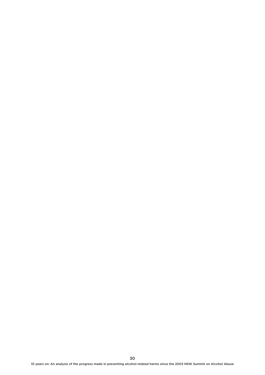10 years on: An analysis of the progress made in preventing alcohol-related harms since the 2003 NSW Summit on Alcohol Abuse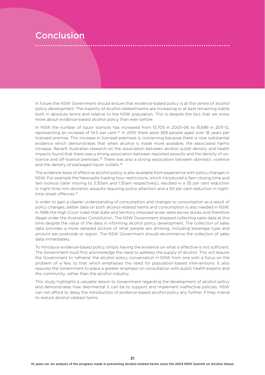## Conclusion

In future the NSW Government should ensure that evidence-based policy is at the centre of alcohol policy development. The majority of alcohol-related harms are increasing or at best remaining stable both in absolute terms and relative to the NSW population. This is despite the fact that we know more about evidence-based alcohol policy than ever before.

In NSW the number of liquor licences has increased from 13,705 in 2005-06 to 15,686 in 2011-12, representing an increase of 14.5 per cent.<sup>34</sup> In 2010 there were 369 people aged over 18 years per licensed premise. This increase in licensed premises is concerning because there is now substantial evidence which demonstrates that when alcohol is made more available, the associated harms increase. Recent Australian research on the association between alcohol outlet density and health impacts found that there was a strong association between reported assaults and the density of onlicence and off-licence premises.<sup>35</sup> There was also a strong association between domestic violence and the density of packaged liquor outlets.<sup>36</sup>

The evidence-base of effective alcohol policy is also available from experience with policy changes in NSW. For example the Newcastle trading hour restrictions, which introduced a 3am closing time and 1am lockout (later moving to 3:30am and 1:30am respectively), resulted in a 35 per cent reduction in night-time non-domestic assaults requiring police attention and a 50 per cent reduction in nighttime street offences.<sup>37</sup>

In order to gain a clearer understanding of consumption and changes to consumption as a result of policy changes, better data on both alcohol-related harms and consumption is also needed in NSW. In 1996 the High Court ruled that state and territory imposed levies were excise duties and therefore illegal under the Australian Constitution. The NSW Government stopped collecting sales data at this time despite the value of the data in informing alcohol policy development. The collection of sales data provides a more detailed picture of what people are drinking, including beverage type and amount per postcode or region. The NSW Government should recommence the collection of sales data immediately.

To introduce evidence-based policy, simply having the evidence on what is effective is not sufficient. The Government must first acknowledge the need to address the supply of alcohol. This will require the Government to 'reframe' the alcohol policy conversation in NSW from one with a focus on the problem of a few, to that which emphaises the need for population-based interventions. It also requires the Government to place a greater emphasis on consultation with public health experts and the community, rather than the alcohol industry.

This study highlights a valuable lesson to Government regarding the development of alcohol policy and demonstrates how detrimental it can be to support and implement ineffective policies. NSW can not afford to delay the introduction of evidence-based alcohol policy any further, if they intend to reduce alcohol-related harms.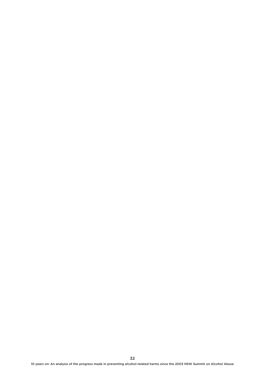10 years on: An analysis of the progress made in preventing alcohol-related harms since the 2003 NSW Summit on Alcohol Abuse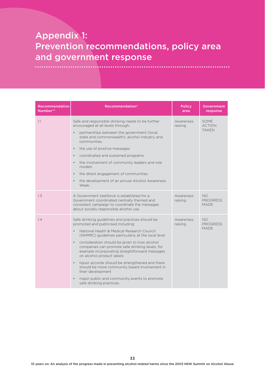## Appendix 1: Prevention recommendations, policy area and government response

| Recommendation<br>Number** | Recommendation*                                                                                                                                                                                                                                                                                                                                                                                                                                                                                                                                                                   | <b>Policy</b><br>area | Government<br>response                      |
|----------------------------|-----------------------------------------------------------------------------------------------------------------------------------------------------------------------------------------------------------------------------------------------------------------------------------------------------------------------------------------------------------------------------------------------------------------------------------------------------------------------------------------------------------------------------------------------------------------------------------|-----------------------|---------------------------------------------|
| 1.1                        | Safe and responsible drinking needs to be further<br>encouraged at all levels through:<br>partnerships between the government (local,<br>state and commonwealth), alcohol industry and<br>communities<br>the use of positive messages<br>coordinated and sustained programs<br>the involvement of community leaders and role<br>models<br>the direct engagement of communities<br>the development of an annual Alcohol Awareness<br>Week.                                                                                                                                         | Awareness<br>raising  | SOME<br><b>ACTION</b><br><b>TAKEN</b>       |
| 1.3                        | A Government taskforce is established for a<br>Government coordinated centrally themed and<br>consistent campaign to coordinate the messages<br>about socially responsible alcohol use.                                                                                                                                                                                                                                                                                                                                                                                           | Awareness<br>raising  | <b>NO</b><br><b>PROGRESS</b><br><b>MADE</b> |
| 1.4                        | Safe drinking guidelines and practices should be<br>promoted and publicised including:<br>National Health & Medical Research Council<br>(NHMRC) guidelines particularly at the local level<br>consideration should be given to how alcohol<br>companies can promote safe drinking levels, for<br>example incorporating straightforward messages<br>on alcohol product labels<br>liquor accords should be strengthened and there<br>should be more community based involvement in<br>their development<br>major public and community events to promote<br>safe drinking practices. | Awareness<br>raising  | <b>NO</b><br><b>PROGRESS</b><br><b>MADE</b> |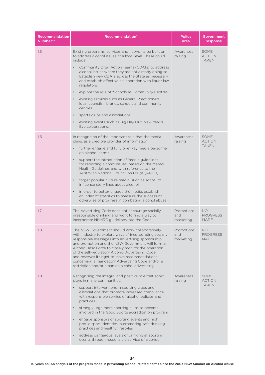| <b>Recommendation</b><br>Number** | Recommendation*                                                                                                                                                                                                                                                                                                                                                                                                                                                                                                                                                                                                                                                               | <b>Policy</b><br>area          | Government<br>response                       |
|-----------------------------------|-------------------------------------------------------------------------------------------------------------------------------------------------------------------------------------------------------------------------------------------------------------------------------------------------------------------------------------------------------------------------------------------------------------------------------------------------------------------------------------------------------------------------------------------------------------------------------------------------------------------------------------------------------------------------------|--------------------------------|----------------------------------------------|
| 1.5                               | Existing programs, services and networks be built on<br>to address alcohol issues at a local level. These could<br>include:<br>Community Drug Action Teams (CDATs) to address<br>alcohol issues where they are not already doing so.<br>Establish new CDATs across the State as necessary<br>and establish effective collaboration with liquor law<br>regulators.<br>explore the role of 'Schools as Community Centres'<br>$\bullet$<br>existing services such as General Practitioners,<br>local councils, libraries, schools and community<br>centres<br>sports clubs and associations<br>$\bullet$<br>existing events such as Big Day Out, New Year's<br>Eve celebrations. | Awareness<br>raising           | SOME<br><b>ACTION</b><br><b>TAKEN</b>        |
| 1.6                               | In recognition of the important role that the media<br>plays, as a credible provider of information:<br>further engage and fully brief key media personnel<br>on alcohol harms<br>support the introduction of 'media guidelines<br>for reporting alcohol issues' based on the Mental<br>Health Guidelines and with reference to the<br>Australian National Council on Drugs (ANCD)<br>target popular culture media, such as soaps, to<br>$\bullet$<br>influence story lines about alcohol<br>in order to better engage the media, establish<br>$\bullet$<br>an index of statistics to measure the success or<br>otherwise of progress in combating alcohol abuse.             | Awareness<br>raising           | <b>SOME</b><br><b>ACTION</b><br><b>TAKEN</b> |
| 1.7                               | The Advertising Code does not encourage socially<br>irresponsible drinking and work to find a way to<br>incorporate NHMRC guidelines into the Code.                                                                                                                                                                                                                                                                                                                                                                                                                                                                                                                           | Promotions<br>and<br>marketing | <b>NO</b><br><b>PROGRESS</b><br><b>MADE</b>  |
| 1.8                               | The NSW Government should work collaboratively<br>with industry to explore ways of incorporating socially<br>responsible messages into advertising sponsorship<br>and promotion and the NSW Government will form an<br>Alcohol Task Force to closely monitor the operation<br>of the self-regulatory Alcohol Advertising Code<br>and reserves its right to make recommendations<br>concerning a mandatory Advertising Code and/or a<br>restriction and/or a ban on alcohol advertising.                                                                                                                                                                                       | Promotions<br>and<br>marketing | NO<br><b>PROGRESS</b><br><b>MADE</b>         |
| 1.9                               | Recognising the integral and positive role that sport<br>plays in many communities:<br>support interventions in sporting clubs and<br>associations that promote increased compliance<br>with responsible service of alcohol policies and<br>practices<br>strongly urge more sporting clubs to become<br>$\bullet$<br>involved in the Good Sports accreditation program<br>engage sponsors of sporting events and high<br>profile sport identities in promoting safe drinking<br>practices and healthy lifestyles<br>address dangerous levels of drinking at sporting<br>$\bullet$<br>events through responsible service of alcohol.                                           | Awareness<br>raising           | SOME<br><b>ACTION</b><br><b>TAKEN</b>        |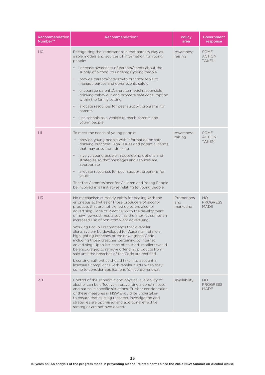| <b>Recommendation</b><br>Number** | <b>Recommendation*</b>                                                                                                                                                                                                                                                                                                                                                                                                                                                                                                                                                                                                                                                                                                                                                                                                                                                  | <b>Policy</b><br>area          | Government<br>response                       |
|-----------------------------------|-------------------------------------------------------------------------------------------------------------------------------------------------------------------------------------------------------------------------------------------------------------------------------------------------------------------------------------------------------------------------------------------------------------------------------------------------------------------------------------------------------------------------------------------------------------------------------------------------------------------------------------------------------------------------------------------------------------------------------------------------------------------------------------------------------------------------------------------------------------------------|--------------------------------|----------------------------------------------|
| 1.10                              | Recognising the important role that parents play as<br>a role models and sources of information for young<br>people:<br>increase awareness of parents/carers about the<br>supply of alcohol to underage young people<br>provide parents/carers with practical tools to<br>manage parties and other events safely<br>encourage parents/carers to model responsible<br>drinking behaviour and promote safe consumption<br>within the family setting<br>allocate resources for peer support programs for<br>parents<br>use schools as a vehicle to reach parents and<br>$\bullet$<br>young people.                                                                                                                                                                                                                                                                         | Awareness<br>raising           | <b>SOME</b><br><b>ACTION</b><br><b>TAKEN</b> |
| 1.11                              | To meet the needs of young people:<br>provide young people with information on safe<br>$\bullet$<br>drinking practices, legal issues and potential harms<br>that may arise from drinking<br>involve young people in developing options and<br>$\bullet$<br>strategies so that messages and services are<br>appropriate<br>allocate resources for peer support programs for<br>$\bullet$<br>youth.<br>That the Commissioner for Children and Young People<br>be involved in all initiatives relating to young people.                                                                                                                                                                                                                                                                                                                                                    | Awareness<br>raising           | <b>SOME</b><br><b>ACTION</b><br><b>TAKEN</b> |
| 1.13                              | No mechanism currently exists for dealing with the<br>erroneous activities of those producers of alcohol<br>products that are not signed up to the alcohol<br>advertising Code of Practice. With the development<br>of new, low-cost media such as the Internet comes an<br>increased risk of non-compliant advertising.<br>Working Group 1 recommends that a retailer<br>alerts system be developed for Australian retailers<br>highlighting breaches of the new agreed Code,<br>including those breaches pertaining to Internet<br>advertising. Upon issuance of an Alert, retailers would<br>be encouraged to remove offending products from<br>sale until the breaches of the Code are rectified.<br>Licensing authorities should take into account a<br>licensee's compliance with retailer alerts when they<br>come to consider applications for license renewal. | Promotions<br>and<br>marketing | <b>NO</b><br><b>PROGRESS</b><br><b>MADE</b>  |
| 2.8                               | Control of the economic and physical availability of<br>alcohol can be effective in preventing alcohol misuse<br>and harms in specific situations. Further consideration<br>of these measures in NSW should be undertaken<br>to ensure that existing research, investigation and<br>strategies are optimised and additional effective<br>strategies are not overlooked.                                                                                                                                                                                                                                                                                                                                                                                                                                                                                                 | Availability                   | <b>NO</b><br><b>PROGRESS</b><br><b>MADE</b>  |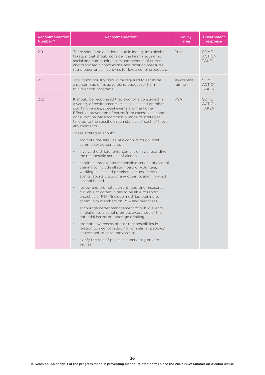| <b>Recommendation</b><br>Number** | <b>Recommendation*</b>                                                                                                                                                                                                                                                                                                                                | <b>Policy</b><br>area | Government<br>response                |
|-----------------------------------|-------------------------------------------------------------------------------------------------------------------------------------------------------------------------------------------------------------------------------------------------------------------------------------------------------------------------------------------------------|-----------------------|---------------------------------------|
| 2.9                               | There should be a national public inquiry into alcohol<br>taxation that should consider the health, economic,<br>social and community costs and benefits of current<br>and proposed alcohol excise and taxation measures<br>(eg greater price incentives for low alcohol products).                                                                   | Price                 | SOME<br><b>ACTION</b><br><b>TAKEN</b> |
| 2.10                              | The liquor industry should be required to set aside<br>a percentage of its advertising budget for harm<br>minimisation programs.                                                                                                                                                                                                                      | Awareness<br>raising  | SOME<br><b>ACTION</b><br><b>TAKEN</b> |
| 2.12                              | It should be recognised that alcohol is consumed in<br>a variety of environments, such as licensed premises,<br>sporting venues, special events and the home.<br>Effective prevention of harms from excessive alcohol<br>consumption will encompass a range of strategies<br>tailored to the specific circumstances of each of these<br>environments. | <b>RSA</b>            | SOME<br><b>ACTION</b><br><b>TAKEN</b> |
|                                   | These strategies should:                                                                                                                                                                                                                                                                                                                              |                       |                                       |
|                                   | promote the safe use of alcohol through local<br>community agreements                                                                                                                                                                                                                                                                                 |                       |                                       |
|                                   | involve the stricter enforcement of laws regarding<br>$\bullet$<br>the responsible service of alcohol                                                                                                                                                                                                                                                 |                       |                                       |
|                                   | continue and expand responsible service of alcohol<br>training to include all staff, paid or volunteer,<br>working in licensed premises, venues, special<br>events, sports clubs or any other location in which<br>alcohol is sold                                                                                                                    |                       |                                       |
|                                   | review and promote current reporting measures<br>available to communities to be able to report<br>breaches of RSA (include modified training to<br>community members on RSA and breaches)                                                                                                                                                             |                       |                                       |
|                                   | encourage better management of public events<br>$\bullet$<br>in relation to alcohol promote awareness of the<br>potential harms of underage drinking                                                                                                                                                                                                  |                       |                                       |
|                                   | promote awareness of host responsibilities in<br>relation to alcohol including normalising peoples'<br>choices not to consume alcohol                                                                                                                                                                                                                 |                       |                                       |
|                                   | clarify the role of police in supervising private<br>parties.                                                                                                                                                                                                                                                                                         |                       |                                       |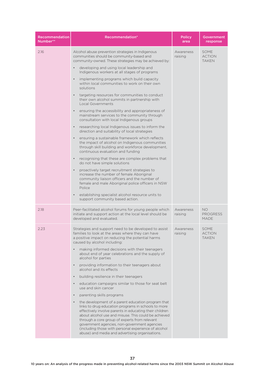| Recommendation<br>Number** | Recommendation*                                                                                                                                                                                                                                                                                                                                                                       | <b>Policy</b><br>area | Government<br>response                       |
|----------------------------|---------------------------------------------------------------------------------------------------------------------------------------------------------------------------------------------------------------------------------------------------------------------------------------------------------------------------------------------------------------------------------------|-----------------------|----------------------------------------------|
| 2.16                       | Alcohol abuse prevention strategies in Indigenous<br>communities should be community-based and<br>community-owned. These strategies may be achieved by:                                                                                                                                                                                                                               | Awareness<br>raising  | <b>SOME</b><br><b>ACTION</b><br><b>TAKEN</b> |
|                            | developing and using local leadership and<br>Indigenous workers at all stages of programs                                                                                                                                                                                                                                                                                             |                       |                                              |
|                            | implementing programs which build capacity<br>$\bullet$<br>within local communities to work on their own<br>solutions                                                                                                                                                                                                                                                                 |                       |                                              |
|                            | targeting resources for communities to conduct<br>their own alcohol summits in partnership with<br><b>Local Governments</b>                                                                                                                                                                                                                                                           |                       |                                              |
|                            | ensuring the accessibility and appropriateness of<br>$\bullet$<br>mainstream services to the community through<br>consultation with local Indigenous groups                                                                                                                                                                                                                           |                       |                                              |
|                            | researching local Indigenous issues to inform the<br>$\bullet$<br>direction and suitability of local strategies                                                                                                                                                                                                                                                                       |                       |                                              |
|                            | ensuring a sustainable framework which reflects<br>the impact of alcohol on Indigenous communities<br>through skill building and workforce development,<br>continuous evaluation and funding                                                                                                                                                                                          |                       |                                              |
|                            | recognising that these are complex problems that<br>$\bullet$<br>do not have simple solutions                                                                                                                                                                                                                                                                                         |                       |                                              |
|                            | proactively target recruitment strategies to<br>$\bullet$<br>increase the number of female Aboriginal<br>community liaison officers and the number of<br>female and male Aboriginal police officers in NSW<br>Police                                                                                                                                                                  |                       |                                              |
|                            | establishing specialist alcohol resource units to<br>support community based action.                                                                                                                                                                                                                                                                                                  |                       |                                              |
| 2.18                       | Peer-facilitated alcohol forums for young people which<br>initiate and support action at the local level should be<br>developed and evaluated.                                                                                                                                                                                                                                        | Awareness<br>raising  | <b>NO</b><br><b>PROGRESS</b><br><b>MADE</b>  |
| 2.23                       | Strategies and support need to be developed to assist<br>families to look at the areas where they can have<br>a positive impact on reducing the potential harms<br>caused by alcohol including:                                                                                                                                                                                       | Awareness<br>raising  | SOME<br><b>ACTION</b><br><b>TAKEN</b>        |
|                            | making informed decisions with their teenagers<br>about end of year celebrations and the supply of<br>alcohol for parties                                                                                                                                                                                                                                                             |                       |                                              |
|                            | providing information to their teenagers about<br>$\bullet$<br>alcohol and its effects                                                                                                                                                                                                                                                                                                |                       |                                              |
|                            | building resilience in their teenagers<br>$\bullet$                                                                                                                                                                                                                                                                                                                                   |                       |                                              |
|                            | education campaigns similar to those for seat belt<br>use and skin cancer                                                                                                                                                                                                                                                                                                             |                       |                                              |
|                            | parenting skills programs<br>$\bullet$                                                                                                                                                                                                                                                                                                                                                |                       |                                              |
|                            | the development of a parent education program that<br>links to drug education programs in schools to more<br>effectively involve parents in educating their children<br>about alcohol use and misuse. This could be achieved<br>through a core group of experts from relevant<br>government agencies, non-government agencies<br>(including those with personal experience of alcohol |                       |                                              |
|                            | abuse) and media and advertising organisations.                                                                                                                                                                                                                                                                                                                                       |                       |                                              |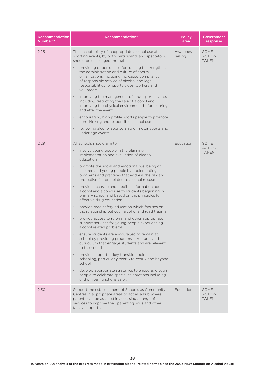| <b>Recommendation</b><br>Number** | Recommendation*                                                                                                                                                                                                                                                                                                                                                                                                                                                                                                                                                                                                                                                                                                                                                                                                                                                                                                                                                                                                                                                                                                                                                                                                                                               | <b>Policy</b><br>area | Government<br>response                       |
|-----------------------------------|---------------------------------------------------------------------------------------------------------------------------------------------------------------------------------------------------------------------------------------------------------------------------------------------------------------------------------------------------------------------------------------------------------------------------------------------------------------------------------------------------------------------------------------------------------------------------------------------------------------------------------------------------------------------------------------------------------------------------------------------------------------------------------------------------------------------------------------------------------------------------------------------------------------------------------------------------------------------------------------------------------------------------------------------------------------------------------------------------------------------------------------------------------------------------------------------------------------------------------------------------------------|-----------------------|----------------------------------------------|
| 2.25                              | The acceptability of inappropriate alcohol use at<br>sporting events, by both participants and spectators,<br>should be challenged through:<br>providing opportunities for training to strengthen<br>the administration and culture of sports<br>organisations, including increased compliance<br>of responsible service of alcohol and legal<br>responsibilities for sports clubs, workers and<br>volunteers<br>improving the management of large sports events<br>$\bullet$<br>including restricting the sale of alcohol and<br>improving the physical environment before, during<br>and after the event<br>encouraging high profile sports people to promote<br>non-drinking and responsible alcohol use<br>reviewing alcohol sponsorship of motor sports and<br>$\bullet$<br>under age events.                                                                                                                                                                                                                                                                                                                                                                                                                                                            | Awareness<br>raising  | <b>SOME</b><br><b>ACTION</b><br><b>TAKEN</b> |
| 2.29                              | All schools should aim to:<br>involve young people in the planning,<br>$\bullet$<br>implementation and evaluation of alcohol<br>education<br>promote the social and emotional wellbeing of<br>$\bullet$<br>children and young people by implementing<br>programs and practices that address the risk and<br>protective factors related to alcohol misuse<br>provide accurate and credible information about<br>alcohol and alcohol use to students beginning in<br>primary school and based on the principles for<br>effective drug education<br>provide road safety education which focuses on<br>$\bullet$<br>the relationship between alcohol and road trauma<br>provide access to referral and other appropriate<br>support services for young people experiencing<br>alcohol related problems<br>ensure students are encouraged to remain at<br>school by providing programs, structures and<br>curriculum that engage students and are relevant<br>to their needs<br>provide support at key transition points in<br>$\bullet$<br>schooling, particularly Year 6 to Year 7 and beyond<br>school<br>develop appropriate strategies to encourage young<br>$\bullet$<br>people to celebrate special celebrations including<br>end of year functions safely. | Education             | <b>SOME</b><br><b>ACTION</b><br><b>TAKEN</b> |
| 2.30                              | Support the establishment of Schools as Community<br>Centres in appropriate areas to act as a hub where<br>parents can be assisted in accessing a range of<br>services to improve their parenting skills and other<br>family supports.                                                                                                                                                                                                                                                                                                                                                                                                                                                                                                                                                                                                                                                                                                                                                                                                                                                                                                                                                                                                                        | Education             | <b>SOME</b><br><b>ACTION</b><br><b>TAKEN</b> |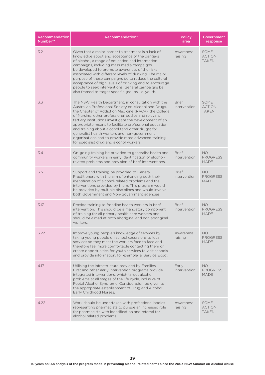| <b>Recommendation</b><br>Number** | <b>Recommendation*</b>                                                                                                                                                                                                                                                                                                                                                                                                                                                                                                                                  | <b>Policy</b><br>area        | Government<br>response                      |
|-----------------------------------|---------------------------------------------------------------------------------------------------------------------------------------------------------------------------------------------------------------------------------------------------------------------------------------------------------------------------------------------------------------------------------------------------------------------------------------------------------------------------------------------------------------------------------------------------------|------------------------------|---------------------------------------------|
| 3.2                               | Given that a major barrier to treatment is a lack of<br>knowledge about and acceptance of the dangers<br>of alcohol, a range of education and information<br>campaigns, including mass media campaigns,<br>be developed to promote awareness of the risks<br>associated with different levels of drinking. The major<br>purpose of these campaigns be to reduce the cultural<br>acceptance of high levels of drinking and to encourage<br>people to seek interventions. General campaigns be<br>also framed to target specific groups, i.e. youth.      | Awareness<br>raising         | SOME<br><b>ACTION</b><br><b>TAKEN</b>       |
| 3.3                               | The NSW Health Department, in consultation with the<br>Australian Professional Society on Alcohol and Drugs,<br>the Chapter of Addiction Medicine (RACP), the College<br>of Nursing, other professional bodies and relevant<br>tertiary institutions investigate the development of an<br>appropriate means to facilitate professional education<br>and training about alcohol (and other drugs) for<br>generalist health workers and non-government<br>organisations and to provide more advanced training<br>for specialist drug and alcohol workers. | <b>Brief</b><br>intervention | SOME<br><b>ACTION</b><br><b>TAKEN</b>       |
| 3.4                               | On-going training be provided to generalist health and<br>community workers in early identification of alcohol-<br>related problems and provision of brief interventions.                                                                                                                                                                                                                                                                                                                                                                               | <b>Brief</b><br>intervention | <b>NO</b><br><b>PROGRESS</b><br><b>MADE</b> |
| 3.5                               | Support and training be provided to General<br>Practitioners with the aim of enhancing both their<br>identification of alcohol-related problems and the<br>interventions provided by them. This program would<br>be provided by multiple disciplines and would involve<br>both Government and Non-Government agencies.                                                                                                                                                                                                                                  | <b>Brief</b><br>intervention | <b>NO</b><br><b>PROGRESS</b><br><b>MADE</b> |
| 3.17                              | Provide training to frontline health workers in brief<br>intervention. This should be a mandatory component<br>of training for all primary health care workers and<br>should be aimed at both aboriginal and non aboriginal<br>workers.                                                                                                                                                                                                                                                                                                                 | <b>Brief</b><br>intervention | <b>NO</b><br><b>PROGRESS</b><br><b>MADE</b> |
| 3.22                              | Improve young people's knowledge of services by<br>taking young people on school excursions to local<br>services so they meet the workers face to face and<br>therefore feel more comfortable contacting them or<br>create opportunities for youth services to visit schools<br>and provide information, for example, a 'Service Expo'.                                                                                                                                                                                                                 | Awareness<br>raising         | <b>NO</b><br><b>PROGRESS</b><br><b>MADE</b> |
| 4.17                              | Utilising the infrastructure provided by Families<br>First and other early intervention programs provide<br>integrated interventions, which target alcohol<br>problems at all stages of the life cycle, inclusive of<br>Foetal Alcohol Syndrome. Consideration be given to<br>the appropriate establishment of Drug and Alcohol<br>Early Childhood Nurses.                                                                                                                                                                                              | Early<br>intervention        | <b>NO</b><br><b>PROGRESS</b><br><b>MADE</b> |
| 4.22                              | Work should be undertaken with professional bodies<br>representing pharmacists to pursue an increased role<br>for pharmacists with identification and referral for<br>alcohol related problems.                                                                                                                                                                                                                                                                                                                                                         | Awareness<br>raising         | SOME<br><b>ACTION</b><br><b>TAKEN</b>       |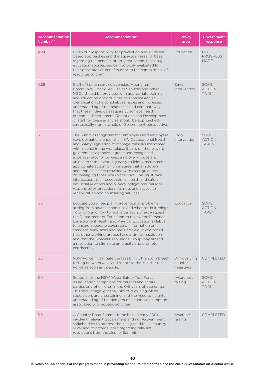| <b>Recommendation</b><br>Number** | <b>Recommendation*</b>                                                                                                                                                                                                                                                                                                                                                                                                                                                                                                                                                                                                                                                                                                                                           | <b>Policy</b><br>area                 | Government<br>response                       |
|-----------------------------------|------------------------------------------------------------------------------------------------------------------------------------------------------------------------------------------------------------------------------------------------------------------------------------------------------------------------------------------------------------------------------------------------------------------------------------------------------------------------------------------------------------------------------------------------------------------------------------------------------------------------------------------------------------------------------------------------------------------------------------------------------------------|---------------------------------------|----------------------------------------------|
| 4.24                              | Given our responsibility for prevention and evidence<br>based approaches and the equivocal research base<br>regarding the benefits of drug education, that drug<br>education approaches be rigorously evaluated for<br>their preventative benefits prior to the commitment of<br>resources to them.                                                                                                                                                                                                                                                                                                                                                                                                                                                              | Education                             | <b>NO</b><br><b>PROGRESS</b><br><b>MADE</b>  |
| 4.25                              | Staff of human service agencies, Aboriginal<br>Community Controlled Health Services and other<br>NGOs should be provided with appropriate training<br>and education opportunities to enhance earlier<br>identification of alcohol abuse issues and increased<br>understanding of the responses and care pathways<br>that these individuals require to achieve healthy<br>outcomes. Recruitment, Retentions and Development<br>of staff for these agencies should be approached<br>strategically from a whole of Government perspective.                                                                                                                                                                                                                          | Early<br>intervention                 | <b>SOME</b><br><b>ACTION</b><br><b>TAKEN</b> |
| 5.1                               | The Summit recognises that employers and employees<br>have obligations under the NSW Occupational Health<br>and Safety legislation to manage the risks associated<br>with alcohol in the workplace. It calls on the relevant<br>government agencies, agreed and recognised<br>experts in alcohol policies, employer groups and<br>unions to form a working party to jointly recommend<br>appropriate action which ensures that employers<br>and employees are provided with clear guidance<br>on managing those workplace risks. This must take<br>into account their occupational health and safety,<br>industrial relations and privacy obligations, personal<br>responsibility, procedural fairness and access to<br>rehabilitation and counselling services. | Early<br>intervention                 | <b>SOME</b><br><b>ACTION</b><br><b>TAKEN</b> |
| 5.2                               | Educate young people in prevention of problems<br>arising from acute alcohol use and what to do if things<br>go wrong and how to look after each other. Request<br>the Department of Education to review the Personal<br>Development Health and Physical Education syllabus<br>to ensure adequate coverage of information on<br>standard drink sizes and basis first aid. It was noted<br>that other working groups have a similar resolution<br>and that the Special Resolutions Group may amend<br>a resolution to eliminate ambiguity and promote<br>consistency.                                                                                                                                                                                             | Education                             | <b>SOME</b><br><b>ACTION</b><br><b>TAKEN</b> |
| 5.3                               | NSW Police investigate the feasibility of random breath<br>testing on waterways and report to the Minister for<br>Police as soon as possible.                                                                                                                                                                                                                                                                                                                                                                                                                                                                                                                                                                                                                    | Drink driving<br>counter-<br>measures | <b>COMPLETED</b>                             |
| 5.4                               | Support for the NSW Water Safety Task Force in<br>its education campaigns for parents and carers<br>particularly of children in the 0-5 years of age range.<br>This should highlight the risks of drowning whilst<br>supervisors are entertaining, and the need to heighten<br>understanding of the dangers of alcohol consumption<br>associated with aquatic activities.                                                                                                                                                                                                                                                                                                                                                                                        | Awareness<br>raising                  | <b>SOME</b><br><b>ACTION</b><br><b>TAKEN</b> |
| 5.5                               | A Country Road Summit to be held in early 2004<br>involving relevant Government and non-Government<br>stakeholders to address the rising road toll in country<br>NSW and to provide input regarding relevant<br>resolutions from the alcohol Summit.                                                                                                                                                                                                                                                                                                                                                                                                                                                                                                             | Awareness<br>raising                  | <b>COMPLETED</b>                             |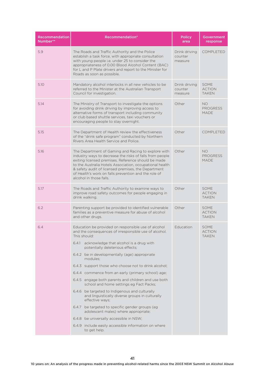| Recommendation<br>Number** | <b>Recommendation*</b>                                                                                                                                                                                                                                                                                                                                                                                                                                                                                                                                                                                                                                                                                                                                                                                                                  | <b>Policy</b><br>area               | Government<br>response                       |
|----------------------------|-----------------------------------------------------------------------------------------------------------------------------------------------------------------------------------------------------------------------------------------------------------------------------------------------------------------------------------------------------------------------------------------------------------------------------------------------------------------------------------------------------------------------------------------------------------------------------------------------------------------------------------------------------------------------------------------------------------------------------------------------------------------------------------------------------------------------------------------|-------------------------------------|----------------------------------------------|
| 5.9                        | The Roads and Traffic Authority and the Police<br>establish a task force, with appropriate consultation<br>with young people i.e. under 25 to consider the<br>appropriateness of 0.00 Blood Alcohol Content (BAC)<br>for L and P Plate drivers and report to the Minister for<br>Roads as soon as possible.                                                                                                                                                                                                                                                                                                                                                                                                                                                                                                                             | Drink driving<br>counter<br>measure | <b>COMPLETED</b>                             |
| 5.10                       | Mandatory alcohol interlocks in all new vehicles to be<br>referred to the Minister at the Australian Transport<br>Council for investigation.                                                                                                                                                                                                                                                                                                                                                                                                                                                                                                                                                                                                                                                                                            | Drink driving<br>counter<br>measure | <b>SOME</b><br><b>ACTION</b><br><b>TAKEN</b> |
| 5.14                       | The Ministry of Transport to investigate the options<br>for avoiding drink driving by improving access to<br>alternative forms of transport including community<br>or club based shuttle services, taxi vouchers or<br>encouraging people to stay overnight.                                                                                                                                                                                                                                                                                                                                                                                                                                                                                                                                                                            | Other                               | <b>NO</b><br><b>PROGRESS</b><br><b>MADE</b>  |
| 5.15                       | The Department of Health review the effectiveness<br>of the "drink safe program" conducted by Northern<br>Rivers Area Health Service and Police.                                                                                                                                                                                                                                                                                                                                                                                                                                                                                                                                                                                                                                                                                        | Other                               | <b>COMPLETED</b>                             |
| 5.16                       | The Department of Gaming and Racing to explore with<br>industry ways to decrease the risks of falls from people<br>exiting licensed premises. Reference should be made<br>to the Australia Hotels Association, occupational health<br>& safety audit of licensed premises, the Department<br>of Health's work on falls prevention and the role of<br>alcohol in those falls.                                                                                                                                                                                                                                                                                                                                                                                                                                                            | Other                               | <b>NO</b><br><b>PROGRESS</b><br><b>MADE</b>  |
| 5.17                       | The Roads and Traffic Authority to examine ways to<br>improve road safety outcomes for people engaging in<br>drink walking.                                                                                                                                                                                                                                                                                                                                                                                                                                                                                                                                                                                                                                                                                                             | Other                               | <b>SOME</b><br><b>ACTION</b><br><b>TAKEN</b> |
| 6.2                        | Parenting support be provided to identified vulnerable<br>families as a preventive measure for abuse of alcohol<br>and other drugs.                                                                                                                                                                                                                                                                                                                                                                                                                                                                                                                                                                                                                                                                                                     | Other                               | <b>SOME</b><br><b>ACTION</b><br><b>TAKEN</b> |
| 6.4                        | Education be provided on responsible use of alcohol<br>and the consequences of irresponsible use of alcohol.<br>This should:<br>6.4.1<br>acknowledge that alcohol is a drug with<br>potentially deleterious effects;<br>6.4.2 be in developmentally (age) appropriate<br>modules;<br>6.4.3 support those who choose not to drink alcohol;<br>6.4.4 commence from an early (primary school) age;<br>6.4.5 engage both parents and children and use both<br>school and home settings eg Fact Packs;<br>6.4.6 be targeted to Indigenous and culturally<br>and linguistically diverse groups in culturally<br>effective ways;<br>6.4.7 be targeted to specific gender groups (eg<br>adolescent males) where appropriate;<br>6.4.8 be universally accessible in NSW;<br>6.4.9 include easily accessible information on where<br>to get help. | Education                           | SOME<br><b>ACTION</b><br><b>TAKEN</b>        |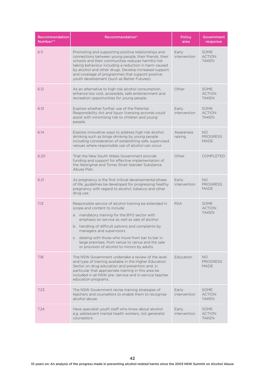| Recommendation<br>Number** | <b>Recommendation*</b>                                                                                                                                                                                                                                                                                                                                                                                                                | <b>Policy</b><br>area | Government<br>response                       |
|----------------------------|---------------------------------------------------------------------------------------------------------------------------------------------------------------------------------------------------------------------------------------------------------------------------------------------------------------------------------------------------------------------------------------------------------------------------------------|-----------------------|----------------------------------------------|
| 6.11                       | Promoting and supporting positive relationships and<br>connections between young people, their friends, their<br>schools and their communities reduces harmful risk<br>taking behaviour including a reduction in harm caused<br>by alcohol and other drugs. Develop increased support<br>and coverage of programmes that support positive<br>youth development (such as Better Futures).                                              | Early<br>intervention | SOME<br><b>ACTION</b><br><b>TAKEN</b>        |
| 6.12                       | As an alternative to high risk alcohol consumption,<br>enhance low cost, accessible, safe entertainment and<br>recreation opportunities for young people.                                                                                                                                                                                                                                                                             | Other                 | <b>SOME</b><br><b>ACTION</b><br><b>TAKEN</b> |
| 6.13                       | Explore whether further use of the Parental<br>Responsibility Act and liquor licensing accords could<br>assist with minimising risk to children and young<br>people.                                                                                                                                                                                                                                                                  | Early<br>intervention | SOME<br><b>ACTION</b><br><b>TAKEN</b>        |
| 6.14                       | Explore innovative ways to address high risk alcohol<br>drinking such as binge drinking by young people<br>including consideration of establishing safe, supervised<br>venues where responsible use of alcohol can occur.                                                                                                                                                                                                             | Awareness<br>raising  | <b>NO</b><br><b>PROGRESS</b><br><b>MADE</b>  |
| 6.20                       | That the New South Wales Government provide<br>funding and support for effective implementation of<br>the Aboriginal and Torres Strait Islander Substance<br>Abuse Plan.                                                                                                                                                                                                                                                              | Other                 | COMPLETED                                    |
| 6.21                       | As pregnancy is the first critical developmental phase<br>of life, guidelines be developed for progressing healthy<br>pregnancy with regard to alcohol, tobacco and other<br>drug use.                                                                                                                                                                                                                                                | Early<br>intervention | <b>NO</b><br><b>PROGRESS</b><br><b>MADE</b>  |
| 7.13                       | Responsible service of alcohol training be extended in<br>scope and content to include:<br>a. mandatory training for the BYO sector with<br>emphasis on service as well as sale of alcohol<br>b. handling of difficult patrons and complaints by<br>managers and supervisors<br>c. dealing with those who move from bar to bar in<br>large premises, from venue to venue and the sale<br>or provision of alcohol to minors by adults. | <b>RSA</b>            | <b>SOME</b><br><b>ACTION</b><br><b>TAKEN</b> |
| 7.18                       | The NSW Government undertake a review of the level<br>and type of training available in the Higher Education<br>Sector on drug education and prevention and, in<br>particular that appropriate training in this area be<br>included in all NSW pre-service and in-service teacher<br>education programs.                                                                                                                              | Education             | <b>NO</b><br><b>PROGRESS</b><br><b>MADE</b>  |
| 7.23                       | The NSW Government revise training strategies of<br>teachers and counsellors to enable them to recognise<br>alcohol abuse.                                                                                                                                                                                                                                                                                                            | Early<br>intervention | <b>SOME</b><br><b>ACTION</b><br><b>TAKEN</b> |
| 7.24                       | Have specialist youth staff who know about alcohol<br>e.g. adolescent mental health workers, not generalist<br>counsellors.                                                                                                                                                                                                                                                                                                           | Early<br>intervention | <b>SOME</b><br><b>ACTION</b><br><b>TAKEN</b> |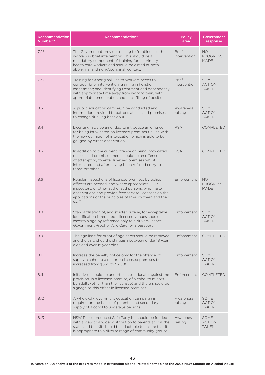| <b>Recommendation</b><br>Number** | Recommendation*                                                                                                                                                                                                                                                                         | <b>Policy</b><br>area        | Government<br>response                       |
|-----------------------------------|-----------------------------------------------------------------------------------------------------------------------------------------------------------------------------------------------------------------------------------------------------------------------------------------|------------------------------|----------------------------------------------|
| 7.28                              | The Government provide training to frontline health<br>workers in brief intervention. This should be a<br>mandatory component of training for all primary<br>health care workers and should be aimed at both<br>aboriginal and non-Aboriginal workers.                                  | <b>Brief</b><br>intervention | <b>NO</b><br><b>PROGRESS</b><br><b>MADE</b>  |
| 7.37                              | Training for Aboriginal Health Workers needs to<br>consider brief intervention; training in holistic<br>assessment; and identifying treatment and dependency<br>with appropriate time away from work to train, with<br>appropriate remuneration and back filling of positions.          | <b>Brief</b><br>intervention | <b>SOME</b><br><b>ACTION</b><br><b>TAKEN</b> |
| 8.3                               | A public education campaign be conducted and<br>information provided to patrons at licensed premises<br>to change drinking behaviour.                                                                                                                                                   | Awareness<br>raising         | SOME<br><b>ACTION</b><br><b>TAKEN</b>        |
| 8.4                               | Licensing laws be amended to introduce an offence<br>for being intoxicated on licensed premises (in line with<br>the new definition of intoxication which is able to be<br>gauged by direct observation).                                                                               | <b>RSA</b>                   | <b>COMPLETED</b>                             |
| 8.5                               | In addition to the current offence of being intoxicated<br>on licensed premises, there should be an offence<br>of attempting to enter licensed premises whilst<br>intoxicated and after having been refused entry to<br>those premises.                                                 | <b>RSA</b>                   | <b>COMPLETED</b>                             |
| 8.6                               | Regular inspections of licensed premises by police<br>officers are needed, and where appropriate DGR<br>inspectors, or other authorised persons, who make<br>observations and provide feedback to licensees on the<br>applications of the principles of RSA by them and their<br>staff. | Enforcement                  | NO.<br><b>PROGRESS</b><br><b>MADE</b>        |
| 8.8                               | Standardisation of, and stricter criteria, for acceptable<br>identification is required - licensed venues should<br>ascertain age by reference only to a drivers licence,<br>Government Proof of Age Card, or a passport.                                                               | Enforcement                  | SOME<br><b>ACTION</b><br><b>TAKEN</b>        |
| 8.9                               | The age limit for proof of age cards should be removed<br>and the card should distinguish between under 18 year<br>olds and over 18 year olds.                                                                                                                                          | Enforcement                  | <b>COMPLETED</b>                             |
| 8.10                              | Increase the penalty notice only for the offence of<br>supply alcohol to a minor on licensed premises be<br>increased from \$550 to \$2.500.                                                                                                                                            | Enforcement                  | <b>SOME</b><br><b>ACTION</b><br><b>TAKEN</b> |
| 8.11                              | Initiatives should be undertaken to educate against the<br>provision, in a licensed premise, of alcohol to minors<br>by adults (other than the licensee) and there should be<br>signage to this effect in licensed premises.                                                            | Enforcement                  | <b>COMPLETED</b>                             |
| 8.12                              | A whole-of-government education campaign is<br>required on the issues of parental and secondary<br>supply of alcohol to underage persons.                                                                                                                                               | Awareness<br>raising         | <b>SOME</b><br><b>ACTION</b><br><b>TAKEN</b> |
| 8.13                              | NSW Police produced Safe Party Kit should be funded<br>with a view to a wider distribution to parents across the<br>state, and the Kit should be adaptable to ensure that it<br>is appropriate to a diverse range of community groups.                                                  | Awareness<br>raising         | <b>SOME</b><br><b>ACTION</b><br><b>TAKEN</b> |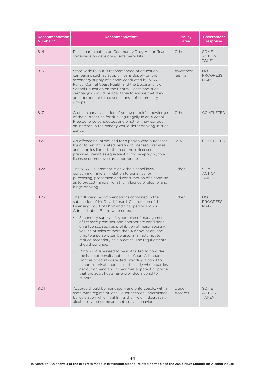| <b>Recommendation</b><br>Number** | Recommendation*                                                                                                                                                                                                                                                                                                                                                                                                                                                                                                                                                                                                                                                                                                                                                                                                                                                                   | <b>Policy</b><br>area | Government<br>response                       |
|-----------------------------------|-----------------------------------------------------------------------------------------------------------------------------------------------------------------------------------------------------------------------------------------------------------------------------------------------------------------------------------------------------------------------------------------------------------------------------------------------------------------------------------------------------------------------------------------------------------------------------------------------------------------------------------------------------------------------------------------------------------------------------------------------------------------------------------------------------------------------------------------------------------------------------------|-----------------------|----------------------------------------------|
| 8.14                              | Police participation on Community Drug Action Teams<br>state-wide on developing safe party kits.                                                                                                                                                                                                                                                                                                                                                                                                                                                                                                                                                                                                                                                                                                                                                                                  | Other                 | <b>SOME</b><br><b>ACTION</b><br><b>TAKEN</b> |
| 8.15                              | State-wide rollout is recommended of education<br>campaigns such as Supply Means Supply on the<br>secondary supply of alcohol conducted by NSW<br>Police, Central Coast Health and the Department of<br>School Education on the Central Coast, and such<br>campaigns should be adaptable to ensure that they<br>are appropriate to a diverse range of community<br>groups.                                                                                                                                                                                                                                                                                                                                                                                                                                                                                                        | Awareness<br>raising  | <b>NO</b><br><b>PROGRESS</b><br><b>MADE</b>  |
| 8.17                              | A preliminary evaluation of young people's knowledge<br>of the current fine for drinking illegally in an Alcohol<br>Free Zone be conducted, and whether they consider<br>an increase in the penalty would deter drinking in such<br>zones.                                                                                                                                                                                                                                                                                                                                                                                                                                                                                                                                                                                                                                        | Other                 | <b>COMPLETED</b>                             |
| 8.20                              | An offence be Introduced for a patron who purchases<br>liquor for an intoxicated person on licensed premises<br>and supplies liquor to them on those licensed<br>premises. Penalties equivalent to those applying to a<br>licensee or employee are appropriate                                                                                                                                                                                                                                                                                                                                                                                                                                                                                                                                                                                                                    | <b>RSA</b>            | <b>COMPLETED</b>                             |
| 8.22                              | The NSW Government review the alcohol laws<br>concerning minors in relation to penalties for<br>purchasing, possession and consumption of alcohol so<br>as to protect minors from the influence of alcohol and<br>binge drinking.                                                                                                                                                                                                                                                                                                                                                                                                                                                                                                                                                                                                                                                 | Other                 | <b>SOME</b><br><b>ACTION</b><br><b>TAKEN</b> |
| 8.23                              | The following recommendations contained in the<br>submission of Mr David Amarti, Chairperson of the<br>Licensing Court of NSW and Chairperson Liquor<br>Administration Board were noted:<br>Secondary supply - A good plan of management<br>of licensed premises, and appropriate conditions<br>on a licence, such as prohibition at major sporting<br>venues of sales of more than 4 drinks at anyone<br>time to a person, can be used in an attempt to<br>reduce secondary sale practice. The requirements<br>should continue.<br>Minors - Police need to be instructed to consider<br>$\bullet$<br>the issue of penalty notices or Court Attendance<br>Notices to adults detected providing alcohol to<br>minors in private homes, particularly where parties<br>get out of hand and it becomes apparent to police<br>that the adult hosts have provided alcohol to<br>minors. | Other                 | <b>NO</b><br><b>PROGRESS</b><br><b>MADE</b>  |
| 8.24                              | Accords should be mandatory and enforceable, with a<br>state-wide regime of local liquor accords underpinned<br>by legislation which highlights their role in decreasing<br>alcohol-related crime and anti social behaviour.                                                                                                                                                                                                                                                                                                                                                                                                                                                                                                                                                                                                                                                      | Liquor<br>Accords     | <b>SOME</b><br><b>ACTION</b><br><b>TAKEN</b> |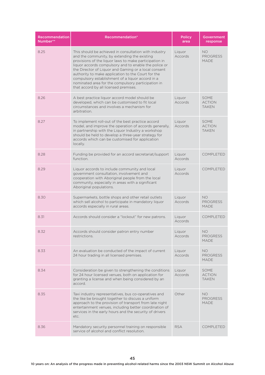| <b>Recommendation</b><br>Number** | Recommendation*                                                                                                                                                                                                                                                                                                                                                                                                                                                                           | <b>Policy</b><br>area | Government<br>response                       |
|-----------------------------------|-------------------------------------------------------------------------------------------------------------------------------------------------------------------------------------------------------------------------------------------------------------------------------------------------------------------------------------------------------------------------------------------------------------------------------------------------------------------------------------------|-----------------------|----------------------------------------------|
| 8.25                              | This should be achieved in consultation with industry<br>and the community, by extending the existing<br>provisions of the liquor laws to make participation in<br>liquor accords compulsory and to enable the police or<br>the Director of Liquor and Gaming or a local consent<br>authority to make application to the Court for the<br>compulsory establishment of a liquor accord in a<br>nominated area for the compulsory participation in<br>that accord by all licensed premises. | Liquor<br>Accords     | <b>NO</b><br><b>PROGRESS</b><br><b>MADE</b>  |
| 8.26                              | A best practice liquor accord model should be<br>developed, which can be customised to fit local<br>circumstances and involves a mechanism for<br>arbitration.                                                                                                                                                                                                                                                                                                                            | Liquor<br>Accords     | SOME<br><b>ACTION</b><br><b>TAKEN</b>        |
| 8.27                              | To implement roll-out of the best practice accord<br>model, and improve the operation of accords generally.<br>in partnership with the Liquor Industry a workshop<br>should be held to develop a three-year strategy for<br>accords which can be customised for application<br>locally.                                                                                                                                                                                                   | Liquor<br>Accords     | SOME<br><b>ACTION</b><br><b>TAKEN</b>        |
| 8.28                              | Funding be provided for an accord secretariat/support<br>function.                                                                                                                                                                                                                                                                                                                                                                                                                        | Liquor<br>Accords     | <b>COMPLETED</b>                             |
| 8.29                              | Liquor accords to include community and local<br>government consultation, involvement and<br>cooperation with Aboriginal people from the local<br>community, especially in areas with a significant<br>Aboriginal populations.                                                                                                                                                                                                                                                            | Liquor<br>Accords     | <b>COMPLETED</b>                             |
| 8.30                              | Supermarkets, bottle shops and other retail outlets<br>which sell alcohol to participate in mandatory liquor<br>accords especially in rural areas.                                                                                                                                                                                                                                                                                                                                        | Liquor<br>Accords     | <b>NO</b><br><b>PROGRESS</b><br><b>MADE</b>  |
| 8.31                              | Accords should consider a "lockout" for new patrons.                                                                                                                                                                                                                                                                                                                                                                                                                                      | Liquor<br>Accords     | <b>COMPLETED</b>                             |
| 8.32                              | Accords should consider patron entry number<br>restrictions.                                                                                                                                                                                                                                                                                                                                                                                                                              | Liquor<br>Accords     | NO<br><b>PROGRESS</b><br><b>MADE</b>         |
| 8.33                              | An evaluation be conducted of the impact of current<br>24 hour trading in all licensed premises.                                                                                                                                                                                                                                                                                                                                                                                          | Liquor<br>Accords     | <b>NO</b><br><b>PROGRESS</b><br><b>MADE</b>  |
| 8.34                              | Consideration be given to strengthening the conditions<br>for 24 hour licensed venues, both on application for<br>granting a license and when being considered by an<br>accord.                                                                                                                                                                                                                                                                                                           | Liquor<br>Accords     | <b>SOME</b><br><b>ACTION</b><br><b>TAKEN</b> |
| 8.35                              | Taxi industry representatives, bus co-operatives and<br>the like be brought together to discuss a uniform<br>approach to the provision of transport from late night<br>entertainment venues, including better coordination of<br>services in the early hours and the security of drivers<br>etc.                                                                                                                                                                                          | Other                 | <b>NO</b><br><b>PROGRESS</b><br><b>MADE</b>  |
| 8.36                              | Mandatory security personnel training on responsible<br>service of alcohol and conflict resolution.                                                                                                                                                                                                                                                                                                                                                                                       | <b>RSA</b>            | <b>COMPLETED</b>                             |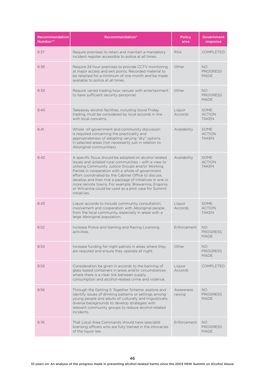| <b>Recommendation</b><br>Number** | Recommendation*                                                                                                                                                                                                                                                                                                                                                                                                                                                                | <b>Policy</b><br>area | Government<br>response                       |
|-----------------------------------|--------------------------------------------------------------------------------------------------------------------------------------------------------------------------------------------------------------------------------------------------------------------------------------------------------------------------------------------------------------------------------------------------------------------------------------------------------------------------------|-----------------------|----------------------------------------------|
| 8.37                              | Require premises to retain and maintain a mandatory<br>incident register accessible to police at all times.                                                                                                                                                                                                                                                                                                                                                                    | <b>RSA</b>            | <b>COMPLETED</b>                             |
| 8.38                              | Require 24 hour premises to provide CCTV monitoring<br>at major access and exit points. Recorded material to<br>be retained for a minimum of one month and be made<br>available to police at all times.                                                                                                                                                                                                                                                                        | Other                 | <b>NO</b><br><b>PROGRESS</b><br><b>MADE</b>  |
| 8.39                              | Require varied trading hour venues with entertainment<br>to have sufficient security personnel.                                                                                                                                                                                                                                                                                                                                                                                | Other                 | <b>NO</b><br><b>PROGRESS</b><br><b>MADE</b>  |
| 8.40                              | Takeaway alcohol facilities, including Good Friday<br>trading, must be considered by local accords in line<br>with local concerns.                                                                                                                                                                                                                                                                                                                                             | Liquor<br>Accords     | SOME<br><b>ACTION</b><br><b>TAKEN</b>        |
| 8.41                              | Whole -of-government and community discussion<br>is required concerning the practicality and<br>appropriateness of adopting varying "dry" options<br>in selected areas (not necessarily just in relation to<br>Aboriginal communities).                                                                                                                                                                                                                                        | Availability          | SOME<br><b>ACTION</b><br><b>TAKEN</b>        |
| 8.42                              | A specific focus should be adopted on alcohol related<br>issues and isolated rural communities - with a view to<br>utilising Community Justice Groups and/or Working<br>Parties in cooperation with a whole of government<br>effort coordinated by the Cabinet Office to discuss,<br>develop and then trial a package of initiatives in one or<br>more remote towns. For example, Brewarrina, Engonia<br>or Wilcannia could be used as a pilot case for Summit<br>initiatives. | Availability          | SOME<br><b>ACTION</b><br><b>TAKEN</b>        |
| 8.43                              | Liquor accords to include community consultation,<br>involvement and cooperation with Aboriginal people<br>from the local community, especially in areas with a<br>large Aboriginal population.                                                                                                                                                                                                                                                                                | Liquor<br>Accords     | <b>SOME</b><br><b>ACTION</b><br><b>TAKEN</b> |
| 8.52                              | Increase Police and Gaming and Racing Licensing<br>activities.                                                                                                                                                                                                                                                                                                                                                                                                                 | Enforcement           | <b>NO</b><br><b>PROGRESS</b><br><b>MADE</b>  |
| 8.54                              | Increase funding for night patrols in areas where they<br>are required and ensure they operate all night.                                                                                                                                                                                                                                                                                                                                                                      | Other                 | <b>NO</b><br><b>PROGRESS</b><br><b>MADE</b>  |
| 8.55                              | Consideration be given in accords to the banning of<br>glass based containers in areas and/or circumstances<br>where there is a clear link between supply,<br>consumption and alcohol-related crime and violence.                                                                                                                                                                                                                                                              | Liquor<br>Accords     | COMPLETED                                    |
| 8.56                              | Through the Getting It Together Scheme, explore and<br>identify issues of drinking patterns or settings among<br>young people and adults of culturally and linguistically<br>diverse backgrounds to develop strategies with<br>relevant community groups to reduce alcohol-related<br>incidents.                                                                                                                                                                               | Awareness<br>raising  | <b>NO</b><br><b>PROGRESS</b><br><b>MADE</b>  |
| 8.76                              | That Local Area Commands should have specialist<br>licensing officers who are fully trained in the intricacies<br>of the liquor law.                                                                                                                                                                                                                                                                                                                                           | Enforcement           | <b>NO</b><br><b>PROGRESS</b><br>MADE         |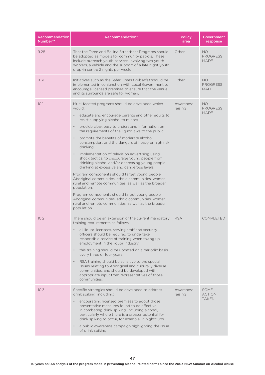| <b>Recommendation</b><br>Number** | <b>Recommendation*</b>                                                                                                                                                                                                                                                                                                                                                                                                                                                                                                                                                                                                                                                                                                                                                                                                                                                                                                                                                     | <b>Policy</b><br>area | Government<br>response                       |
|-----------------------------------|----------------------------------------------------------------------------------------------------------------------------------------------------------------------------------------------------------------------------------------------------------------------------------------------------------------------------------------------------------------------------------------------------------------------------------------------------------------------------------------------------------------------------------------------------------------------------------------------------------------------------------------------------------------------------------------------------------------------------------------------------------------------------------------------------------------------------------------------------------------------------------------------------------------------------------------------------------------------------|-----------------------|----------------------------------------------|
| 9.28                              | That the Taree and Ballina Streetbeat Programs should<br>be adopted as models for community patrols. These<br>include outreach youth services involving two youth<br>workers, a vehicle and the support of a late night youth<br>drop-in centre 2 nights per week.                                                                                                                                                                                                                                                                                                                                                                                                                                                                                                                                                                                                                                                                                                         | Other                 | <b>NO</b><br><b>PROGRESS</b><br><b>MADE</b>  |
| 9.31                              | Initiatives such as the Safer Times (Pubsafe) should be<br>implemented in conjunction with Local Government to<br>encourage licensed premises to ensure that the venue<br>and its surrounds are safe for women.                                                                                                                                                                                                                                                                                                                                                                                                                                                                                                                                                                                                                                                                                                                                                            | Other                 | <b>NO</b><br><b>PROGRESS</b><br><b>MADE</b>  |
| 10.1                              | Multi-faceted programs should be developed which<br>would:<br>educate and encourage parents and other adults to<br>$\bullet$<br>resist supplying alcohol to minors<br>provide clear, easy to understand information on<br>$\bullet$<br>the requirements of the liquor laws to the public<br>promote the benefits of moderate alcohol<br>consumption, and the dangers of heavy or high risk<br>drinking<br>implementation of television advertising using<br>shock tactics, to discourage young people from<br>drinking alcohol and/or decreasing young people<br>drinking at excessive and dangerous levels.<br>Program components should target young people,<br>Aboriginal communities, ethnic communities, women,<br>rural and remote communities, as well as the broader<br>population.<br>Program components should target young people,<br>Aboriginal communities, ethnic communities, women,<br>rural and remote communities, as well as the broader<br>population. | Awareness<br>raising  | <b>NO</b><br><b>PROGRESS</b><br><b>MADE</b>  |
| 10.2                              | There should be an extension of the current mandatory<br>training requirements as follows:<br>all liquor licensees, serving staff and security<br>officers should be required to undertake<br>responsible service of training when taking up<br>employment in the liquor industry<br>this training should be updated on a periodic basis<br>$\bullet$<br>every three or four years<br>RSA training should be sensitive to the special<br>$\bullet$<br>issues relating to Aboriginal and culturally diverse<br>communities, and should be developed with<br>appropriate input from representatives of those<br>communities.                                                                                                                                                                                                                                                                                                                                                 | <b>RSA</b>            | <b>COMPLETED</b>                             |
| 10.3                              | Specific strategies should be developed to address<br>drink spiking, including:<br>encouraging licensed premises to adopt those<br>preventative measures found to be effective<br>in combating drink spiking, including alcohol,<br>particularly where there is a greater potential for<br>drink spiking to occur, for example, in nightclubs.<br>a public awareness campaign highlighting the issue<br>$\bullet$<br>of drink spiking                                                                                                                                                                                                                                                                                                                                                                                                                                                                                                                                      | Awareness<br>raising  | <b>SOME</b><br><b>ACTION</b><br><b>TAKEN</b> |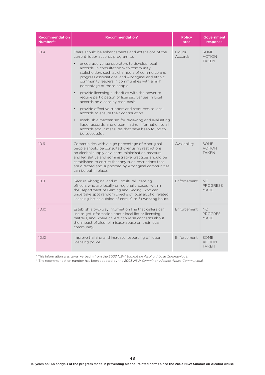| <b>Recommendation</b><br>Number** | Recommendation*                                                                                                                                                                                                                                                                                                                                                                                                                                                                                                                                                                                                                                                                                                                                                                               | <b>Policy</b><br>area | Government<br>response                      |
|-----------------------------------|-----------------------------------------------------------------------------------------------------------------------------------------------------------------------------------------------------------------------------------------------------------------------------------------------------------------------------------------------------------------------------------------------------------------------------------------------------------------------------------------------------------------------------------------------------------------------------------------------------------------------------------------------------------------------------------------------------------------------------------------------------------------------------------------------|-----------------------|---------------------------------------------|
| 10.4                              | There should be enhancements and extensions of the<br>current liquor accords program to:<br>encourage venue operators to develop local<br>accords, in consultation with community<br>stakeholders such as chambers of commerce and<br>progress associations, and Aboriginal and ethnic<br>community leaders in communities with a high<br>percentage of those people<br>provide licensing authorities with the power to<br>require participation of licensed venues in local<br>accords on a case by case basis<br>provide effective support and resources to local<br>accords to ensure their continuation<br>establish a mechanism for reviewing and evaluating<br>liquor accords, and disseminating information to all<br>accords about measures that have been found to<br>be successful. | Liquor<br>Accords     | SOME<br><b>ACTION</b><br><b>TAKEN</b>       |
| 10.6                              | Communities with a high percentage of Aboriginal<br>people should be consulted over using restrictions<br>on alcohol supply as a harm minimisation measure,<br>and legislative and administrative practices should be<br>established to ensure that any such restrictions that<br>are directed and supported by Aboriginal communities<br>can be put in place.                                                                                                                                                                                                                                                                                                                                                                                                                                | Availability          | SOME<br><b>ACTION</b><br><b>TAKEN</b>       |
| 10.9                              | Recruit Aboriginal and multicultural licensing<br>officers who are locally or regionally based, within<br>the Department of Gaming and Racing, who can<br>undertake spot random checks of local alcohol related<br>licensing issues outside of core (9 to 5) working hours.                                                                                                                                                                                                                                                                                                                                                                                                                                                                                                                   | Enforcement           | <b>NO</b><br><b>PROGRESS</b><br><b>MADE</b> |
| 10.10                             | Establish a two-way information line that callers can<br>use to get information about local liquor licensing<br>matters, and where callers can raise concerns about<br>the impact of alcohol misuse/abuse on their local<br>community.                                                                                                                                                                                                                                                                                                                                                                                                                                                                                                                                                        | Enforcement           | <b>NO</b><br><b>PROGRES</b><br><b>MADE</b>  |
| 10.12                             | Improve training and increase resourcing of liquor<br>licensing police.                                                                                                                                                                                                                                                                                                                                                                                                                                                                                                                                                                                                                                                                                                                       | Enforcement           | SOME<br><b>ACTION</b><br><b>TAKEN</b>       |

\* This information was taken verbatim from the *2003 NSW Summit on Alcohol Abuse Communiqué*.

\*\*The recommendation number has been adopted by the *2003 NSW Summit on Alcohol Abuse Communiqué*.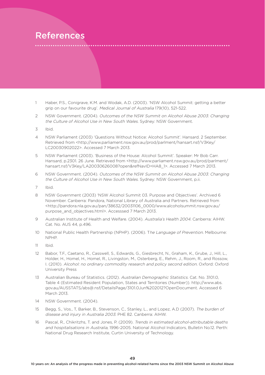### **References**

- Haber, P.S., Conigrave, K.M. and Wodak, A.D. (2003). 'NSW Alcohol Summit: getting a better  $\mathbf{1}$ grip on our favourite drug'. Medical Journal of Australia 179(10), 521-522.
- $\overline{2}$ NSW Government. (2004). Outcomes of the NSW Summit on Alcohol Abuse 2003: Changing the Culture of Alcohol Use in New South Wales. Sydney: NSW Government.
- $\overline{5}$ **Ibid**
- $\Delta$ NSW Parliament (2003) 'Questions Without Notice: Alcohol Summit'. Hansard. 2 September. Retrieved from <http://www.parliament.nsw.gov.au/prod/parlment/hansart.nsf/V3Key/ LC20030902022>, Accessed 7 March 2013.
- $\sqrt{2}$ NSW Parliament (2003). 'Business of the House: Alcohol Summit'. Speaker: Mr Bob Carr. Hansard, p.2301. 26 June. Retrieved from <http://www.parliament.nsw.gov.au/prod/parlment/ hansart.nsf/V3Kev/LA20030626008?open&refNavID=HA8 1>. Accessed 7 March 2013.
- NSW Government. (2004). Outcomes of the NSW Summit on Alcohol Abuse 2003: Changing  $6\overline{6}$ the Culture of Alcohol Use in New South Wales. Sydney: NSW Government, p.ii.
- $\overline{7}$ **Ihid**
- 8 NSW Government (2003) 'NSW Alcohol Summit 03. Purpose and Objectives'. Archived 6 November. Canberra: Pandora, National Library of Australia and Partners. Retrieved from <http://pandora.nla.gov.au/pan/38632/20031106\_0000/www.alcoholsummit.nsw.gov.au/ purpose\_and\_objectives.html>. Accesssed 7 March 2013.
- Australian Institute of Health and Welfare. (2004). Australia's Health 2004. Canberra: AIHW.  $\circ$ Cat. No. AUS 44, p.496.
- $10<sup>1</sup>$ National Public Health Partnership (NPHP). (2006). The Language of Prevention. Melbourne: **NPHP**
- $11$ Ibid.
- $12$ Babor, T.F., Caetano, R., Casswell, S., Edwards, G., Giesbrecht, N., Graham, K., Grube, J., Hill, L., Holder, H., Homel, H., Homel, R., Livingston, M., Osterberg, E., Rehm, J., Room, R., and Rossow, I. (2010). Alcohol: no ordinary commodity research and policy second edition. Oxford: Oxford University Press
- 13 Australian Bureau of Statistics. (2012). Australian Demographic Statistics. Cat. No. 3101.0. Table 4 (Estimated Resident Population, States and Territories (Number)). http://www.abs. gov.au/AUSSTATS/abs@.nsf/DetailsPage/3101.0Jun%202012?OpenDocument. Accessed 6 March 2013.
- $14$ NSW Government. (2004).
- Begg, S., Vos., T, Barker, B., Stevenson, C., Stanley, L., and Lopez, A.D (2007). The burden of  $15$ disease and injury in Australia 2003. PHE 82. Canberra: AIHW.
- Pascal, R., Chikritzhs, T. and Jones, P. (2009). Trends in estimated alcohol-attributable deaths  $16$ and hospitalisations in Australia, 1996-2005. National Alcohol Indicators, Bulletin No.12, Perth: National Drug Research Institute, Curtin University of Technology.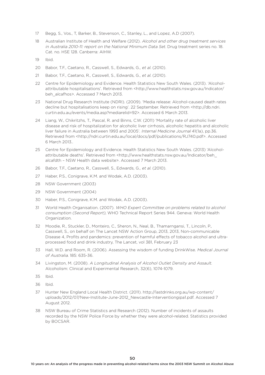- 17 Begg, S., Vos., T, Barker, B., Stevenson, C., Stanley, L., and Lopez, A.D (2007).
- 18 Australian Institute of Health and Welfare (2012). Alcohol and other drug treatment services in Australia 2010-11: report on the National Minimum Data Set. Drug treatment series no. 18. Cat. no. HSE 128. Canberra: AIHW.
- 19 Ibid.
- 20 Babor, T.F., Caetano, R., Casswell, S., Edwards, G., et al. (2010).
- 21 Babor, T.F., Caetano, R., Casswell, S., Edwards, G., et al. (2010).
- 22 Centre for Epidemiology and Evidence. Health Statistics New South Wales. (2013). 'Alcoholattributable hospitalisations'. Retrieved from <http://www.healthstats.nsw.gov.au/Indicator/ beh alcafhos>. Accessed 7 March 2013.
- 23 National Drug Research Institute (NDRI). (2009). 'Media release: Alcohol-caused death rates decline but hospitalisations keep on rising'. 22 September. Retrieved from <http://db.ndri. curtin.edu.au/events/media.asp?mediarelid=92>. Accessed 6 March 2013.
- 24 Liang, W., Chikritzhs, T., Pascal, R. and Binns, C.W. (2011) 'Mortality rate of alcoholic liver disease and risk of hospitalization for alcoholic liver cirrhosis, alcoholic hepatitis and alcoholic liver failure in Australia between 1993 and 2005'. Internal Medicine Journal 41(1a), pp.36. Retrieved from <http://ndri.curtin.edu.au/local/docs/pdf/publications/RJ740.pdf>. Accessed 6 March 2013..
- 25 Centre for Epidemiology and Evidence. Health Statistics New South Wales. (2013) 'Alcoholattributable deaths'. Retrieved from <http://www.healthstats.nsw.gov.au/Indicator/beh alcafdth – NSW Health data website>. Accessed 7 March 2013.
- 26 Babor, T.F., Caetano, R., Casswell, S., Edwards, G., et al. (2010).
- 27 Haber, P.S., Conigrave, K.M. and Wodak, A.D. (2003).
- 28 NSW Government (2003)
- 29 NSW Government (2004)
- 30 Haber, P.S., Conigrave, K.M. and Wodak, A.D. (2003).
- 31 World Health Organisation. (2007). WHO Expert Committee on problems related to alcohol consumption (Second Report), WHO Technical Report Series 944. Geneva: World Health Organization.
- 32 Moodie, R., Stuckler, D., Monteiro, C., Sheron, N., Neal, B., Thamarngansi, T., Lincoln, P., Casswell, S., on behalf on The Lancet NSW Action Group, 2013, 2013, Non-communicable Disease 4, Profits and pandemics: prevention of harmful effects of tobacco alcohol and ultraprocessed food and drink industry, The Lancet, vol 381, February 23
- 33 Hall, W.D. and Room, R. (2006). Assessing the wisdom of funding DrinkWise. Medical Journal of Australia. 185: 635-36.
- 34 Livingston, M. (2008). A Longitudinal Analysis of Alcohol Outlet Density and Assault. Alcoholism: Clinical and Experimental Research, 32(6), 1074-1079.
- 35 Ibid.
- 36 Ibid.
- 37 Hunter New England Local Health District. (2011). http://lastdrinks.org.au/wp-content/ uploads/2012/07/New-Institute-June-2012\_Newcastle-Interventiongipa1.pdf. Accessed 7 August 2012.
- 38 NSW Bureau of Crime Statistics and Research (2012). Number of incidents of assaults recorded by the NSW Police Force by whether they were alcohol-related. Statistics provided by BOCSAR.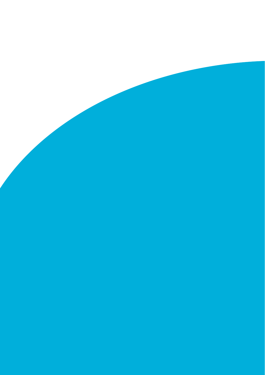